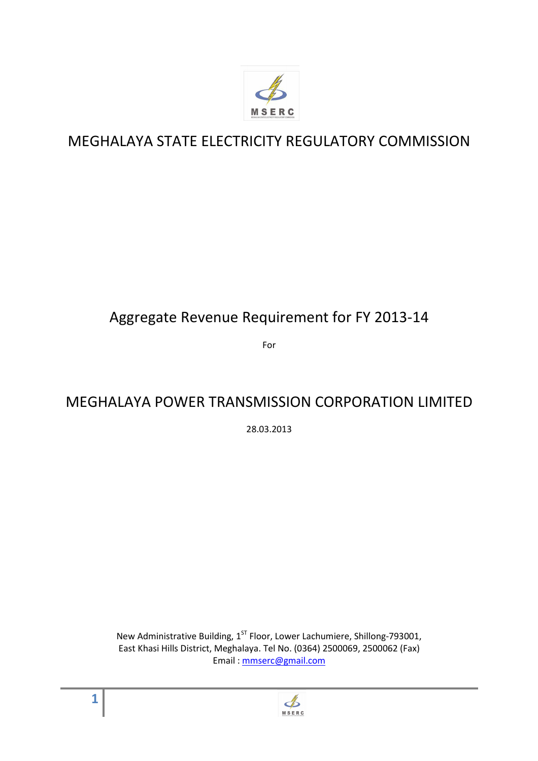

# MEGHALAYA STATE ELECTRICITY REGULATORY COMMISSION

# Aggregate Revenue Requirement for FY 2013-14

For

# MEGHALAYA POWER TRANSMISSION CORPORATION LIMITED

28.03.2013

New Administrative Building, 1<sup>ST</sup> Floor, Lower Lachumiere, Shillong-793001, East Khasi Hills District, Meghalaya. Tel No. (0364) 2500069, 2500062 (Fax) Email : mmserc@gmail.com

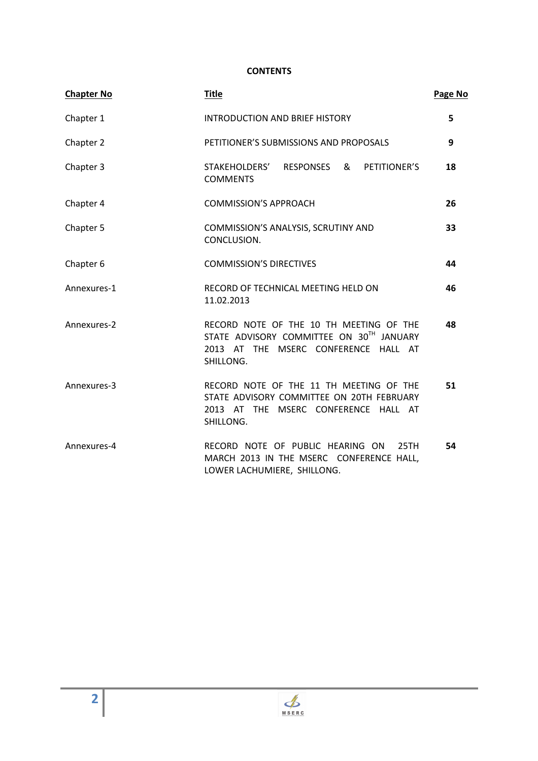## **CONTENTS**

| <b>Chapter No</b> | <b>Title</b>                                                                                                                              | Page No |
|-------------------|-------------------------------------------------------------------------------------------------------------------------------------------|---------|
| Chapter 1         | INTRODUCTION AND BRIEF HISTORY                                                                                                            | 5       |
| Chapter 2         | PETITIONER'S SUBMISSIONS AND PROPOSALS                                                                                                    | 9       |
| Chapter 3         | STAKEHOLDERS' RESPONSES & PETITIONER'S<br><b>COMMENTS</b>                                                                                 | 18      |
| Chapter 4         | <b>COMMISSION'S APPROACH</b>                                                                                                              | 26      |
| Chapter 5         | COMMISSION'S ANALYSIS, SCRUTINY AND<br>CONCLUSION.                                                                                        | 33      |
| Chapter 6         | <b>COMMISSION'S DIRECTIVES</b>                                                                                                            | 44      |
| Annexures-1       | RECORD OF TECHNICAL MEETING HELD ON<br>11.02.2013                                                                                         | 46      |
| Annexures-2       | RECORD NOTE OF THE 10 TH MEETING OF THE<br>STATE ADVISORY COMMITTEE ON 30TH JANUARY<br>2013 AT THE MSERC CONFERENCE HALL AT<br>SHILLONG.  | 48      |
| Annexures-3       | RECORD NOTE OF THE 11 TH MEETING OF THE<br>STATE ADVISORY COMMITTEE ON 20TH FEBRUARY<br>2013 AT THE MSERC CONFERENCE HALL AT<br>SHILLONG. | 51      |
| Annexures-4       | RECORD NOTE OF PUBLIC HEARING ON<br>25TH<br>MARCH 2013 IN THE MSERC CONFERENCE HALL,<br>LOWER LACHUMIERE, SHILLONG.                       | 54      |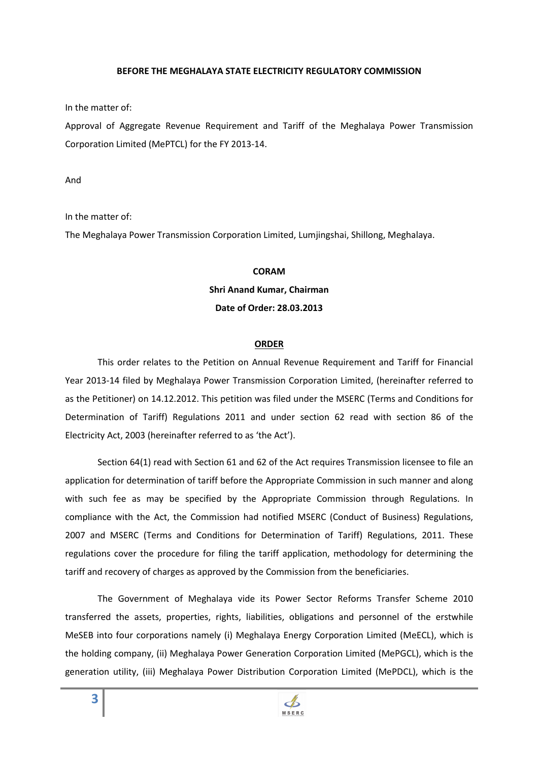#### **BEFORE THE MEGHALAYA STATE ELECTRICITY REGULATORY COMMISSION**

In the matter of:

Approval of Aggregate Revenue Requirement and Tariff of the Meghalaya Power Transmission Corporation Limited (MePTCL) for the FY 2013-14.

And

In the matter of:

The Meghalaya Power Transmission Corporation Limited, Lumjingshai, Shillong, Meghalaya.

#### **CORAM**

## **Shri Anand Kumar, Chairman**

### **Date of Order: 28.03.2013**

### **ORDER**

This order relates to the Petition on Annual Revenue Requirement and Tariff for Financial Year 2013-14 filed by Meghalaya Power Transmission Corporation Limited, (hereinafter referred to as the Petitioner) on 14.12.2012. This petition was filed under the MSERC (Terms and Conditions for Determination of Tariff) Regulations 2011 and under section 62 read with section 86 of the Electricity Act, 2003 (hereinafter referred to as 'the Act').

Section 64(1) read with Section 61 and 62 of the Act requires Transmission licensee to file an application for determination of tariff before the Appropriate Commission in such manner and along with such fee as may be specified by the Appropriate Commission through Regulations. In compliance with the Act, the Commission had notified MSERC (Conduct of Business) Regulations, 2007 and MSERC (Terms and Conditions for Determination of Tariff) Regulations, 2011. These regulations cover the procedure for filing the tariff application, methodology for determining the tariff and recovery of charges as approved by the Commission from the beneficiaries.

The Government of Meghalaya vide its Power Sector Reforms Transfer Scheme 2010 transferred the assets, properties, rights, liabilities, obligations and personnel of the erstwhile MeSEB into four corporations namely (i) Meghalaya Energy Corporation Limited (MeECL), which is the holding company, (ii) Meghalaya Power Generation Corporation Limited (MePGCL), which is the generation utility, (iii) Meghalaya Power Distribution Corporation Limited (MePDCL), which is the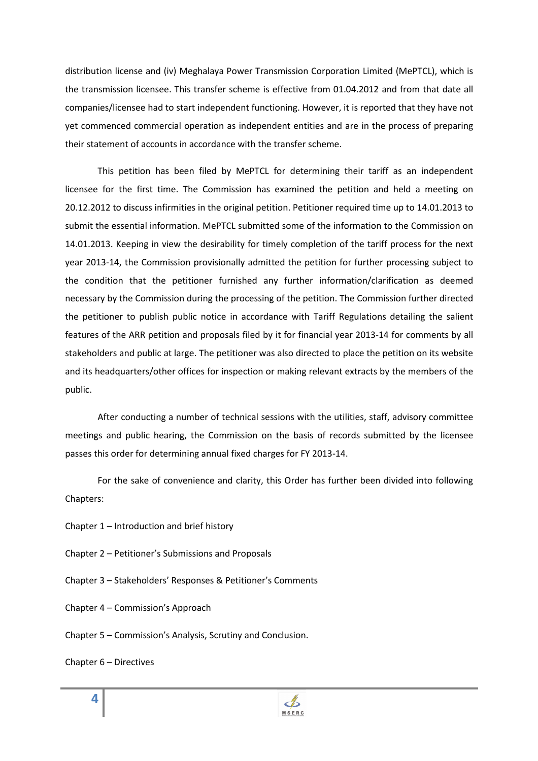distribution license and (iv) Meghalaya Power Transmission Corporation Limited (MePTCL), which is the transmission licensee. This transfer scheme is effective from 01.04.2012 and from that date all companies/licensee had to start independent functioning. However, it is reported that they have not yet commenced commercial operation as independent entities and are in the process of preparing their statement of accounts in accordance with the transfer scheme.

This petition has been filed by MePTCL for determining their tariff as an independent licensee for the first time. The Commission has examined the petition and held a meeting on 20.12.2012 to discuss infirmities in the original petition. Petitioner required time up to 14.01.2013 to submit the essential information. MePTCL submitted some of the information to the Commission on 14.01.2013. Keeping in view the desirability for timely completion of the tariff process for the next year 2013-14, the Commission provisionally admitted the petition for further processing subject to the condition that the petitioner furnished any further information/clarification as deemed necessary by the Commission during the processing of the petition. The Commission further directed the petitioner to publish public notice in accordance with Tariff Regulations detailing the salient features of the ARR petition and proposals filed by it for financial year 2013-14 for comments by all stakeholders and public at large. The petitioner was also directed to place the petition on its website and its headquarters/other offices for inspection or making relevant extracts by the members of the public.

After conducting a number of technical sessions with the utilities, staff, advisory committee meetings and public hearing, the Commission on the basis of records submitted by the licensee passes this order for determining annual fixed charges for FY 2013-14.

For the sake of convenience and clarity, this Order has further been divided into following Chapters:

- Chapter 1 Introduction and brief history
- Chapter 2 Petitioner's Submissions and Proposals
- Chapter 3 Stakeholders' Responses & Petitioner's Comments
- Chapter 4 Commission's Approach

Chapter 5 – Commission's Analysis, Scrutiny and Conclusion.

Chapter 6 – Directives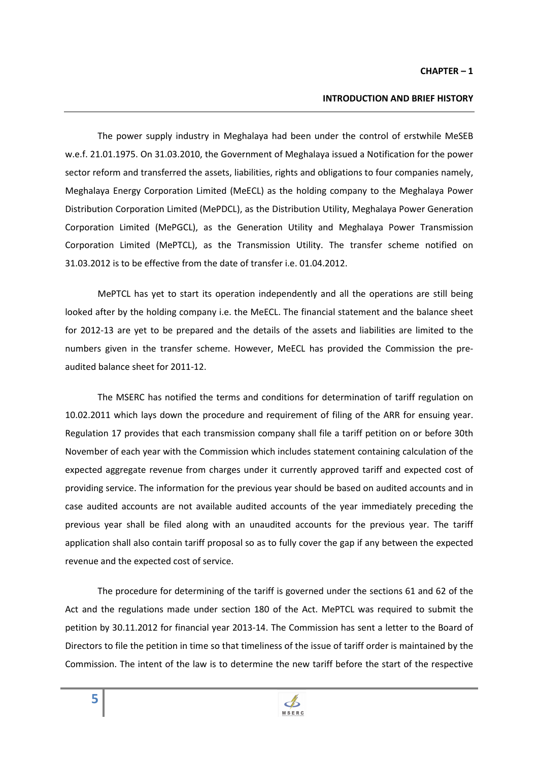#### **CHAPTER – 1**

#### **INTRODUCTION AND BRIEF HISTORY**

The power supply industry in Meghalaya had been under the control of erstwhile MeSEB w.e.f. 21.01.1975. On 31.03.2010, the Government of Meghalaya issued a Notification for the power sector reform and transferred the assets, liabilities, rights and obligations to four companies namely, Meghalaya Energy Corporation Limited (MeECL) as the holding company to the Meghalaya Power Distribution Corporation Limited (MePDCL), as the Distribution Utility, Meghalaya Power Generation Corporation Limited (MePGCL), as the Generation Utility and Meghalaya Power Transmission Corporation Limited (MePTCL), as the Transmission Utility. The transfer scheme notified on 31.03.2012 is to be effective from the date of transfer i.e. 01.04.2012.

 MePTCL has yet to start its operation independently and all the operations are still being looked after by the holding company i.e. the MeECL. The financial statement and the balance sheet for 2012-13 are yet to be prepared and the details of the assets and liabilities are limited to the numbers given in the transfer scheme. However, MeECL has provided the Commission the preaudited balance sheet for 2011-12.

 The MSERC has notified the terms and conditions for determination of tariff regulation on 10.02.2011 which lays down the procedure and requirement of filing of the ARR for ensuing year. Regulation 17 provides that each transmission company shall file a tariff petition on or before 30th November of each year with the Commission which includes statement containing calculation of the expected aggregate revenue from charges under it currently approved tariff and expected cost of providing service. The information for the previous year should be based on audited accounts and in case audited accounts are not available audited accounts of the year immediately preceding the previous year shall be filed along with an unaudited accounts for the previous year. The tariff application shall also contain tariff proposal so as to fully cover the gap if any between the expected revenue and the expected cost of service.

 The procedure for determining of the tariff is governed under the sections 61 and 62 of the Act and the regulations made under section 180 of the Act. MePTCL was required to submit the petition by 30.11.2012 for financial year 2013-14. The Commission has sent a letter to the Board of Directors to file the petition in time so that timeliness of the issue of tariff order is maintained by the Commission. The intent of the law is to determine the new tariff before the start of the respective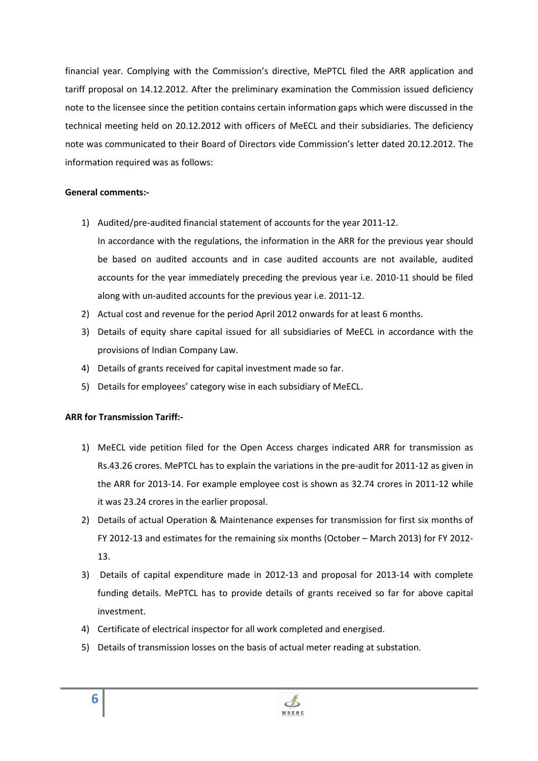financial year. Complying with the Commission's directive, MePTCL filed the ARR application and tariff proposal on 14.12.2012. After the preliminary examination the Commission issued deficiency note to the licensee since the petition contains certain information gaps which were discussed in the technical meeting held on 20.12.2012 with officers of MeECL and their subsidiaries. The deficiency note was communicated to their Board of Directors vide Commission's letter dated 20.12.2012. The information required was as follows:

# **General comments:-**

1) Audited/pre-audited financial statement of accounts for the year 2011-12.

In accordance with the regulations, the information in the ARR for the previous year should be based on audited accounts and in case audited accounts are not available, audited accounts for the year immediately preceding the previous year i.e. 2010-11 should be filed along with un-audited accounts for the previous year i.e. 2011-12.

- 2) Actual cost and revenue for the period April 2012 onwards for at least 6 months.
- 3) Details of equity share capital issued for all subsidiaries of MeECL in accordance with the provisions of Indian Company Law.
- 4) Details of grants received for capital investment made so far.
- 5) Details for employees' category wise in each subsidiary of MeECL.

# **ARR for Transmission Tariff:-**

- 1) MeECL vide petition filed for the Open Access charges indicated ARR for transmission as Rs.43.26 crores. MePTCL has to explain the variations in the pre-audit for 2011-12 as given in the ARR for 2013-14. For example employee cost is shown as 32.74 crores in 2011-12 while it was 23.24 crores in the earlier proposal.
- 2) Details of actual Operation & Maintenance expenses for transmission for first six months of FY 2012-13 and estimates for the remaining six months (October – March 2013) for FY 2012- 13.
- 3) Details of capital expenditure made in 2012-13 and proposal for 2013-14 with complete funding details. MePTCL has to provide details of grants received so far for above capital investment.
- 4) Certificate of electrical inspector for all work completed and energised.
- 5) Details of transmission losses on the basis of actual meter reading at substation.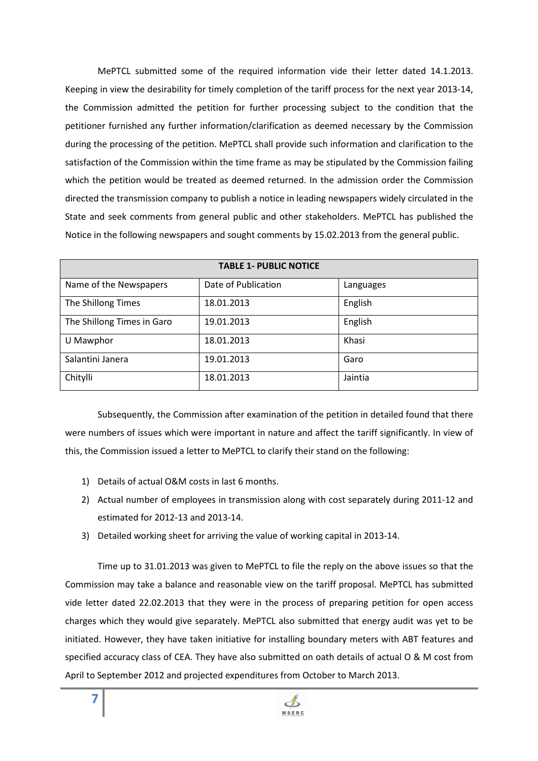MePTCL submitted some of the required information vide their letter dated 14.1.2013. Keeping in view the desirability for timely completion of the tariff process for the next year 2013-14, the Commission admitted the petition for further processing subject to the condition that the petitioner furnished any further information/clarification as deemed necessary by the Commission during the processing of the petition. MePTCL shall provide such information and clarification to the satisfaction of the Commission within the time frame as may be stipulated by the Commission failing which the petition would be treated as deemed returned. In the admission order the Commission directed the transmission company to publish a notice in leading newspapers widely circulated in the State and seek comments from general public and other stakeholders. MePTCL has published the Notice in the following newspapers and sought comments by 15.02.2013 from the general public.

| <b>TABLE 1- PUBLIC NOTICE</b> |                     |           |  |
|-------------------------------|---------------------|-----------|--|
| Name of the Newspapers        | Date of Publication | Languages |  |
| The Shillong Times            | 18.01.2013          | English   |  |
| The Shillong Times in Garo    | 19.01.2013          | English   |  |
| U Mawphor                     | 18.01.2013          | Khasi     |  |
| Salantini Janera              | 19.01.2013          | Garo      |  |
| Chitylli                      | 18.01.2013          | Jaintia   |  |

 Subsequently, the Commission after examination of the petition in detailed found that there were numbers of issues which were important in nature and affect the tariff significantly. In view of this, the Commission issued a letter to MePTCL to clarify their stand on the following:

- 1) Details of actual O&M costs in last 6 months.
- 2) Actual number of employees in transmission along with cost separately during 2011-12 and estimated for 2012-13 and 2013-14.
- 3) Detailed working sheet for arriving the value of working capital in 2013-14.

 Time up to 31.01.2013 was given to MePTCL to file the reply on the above issues so that the Commission may take a balance and reasonable view on the tariff proposal. MePTCL has submitted vide letter dated 22.02.2013 that they were in the process of preparing petition for open access charges which they would give separately. MePTCL also submitted that energy audit was yet to be initiated. However, they have taken initiative for installing boundary meters with ABT features and specified accuracy class of CEA. They have also submitted on oath details of actual O & M cost from April to September 2012 and projected expenditures from October to March 2013.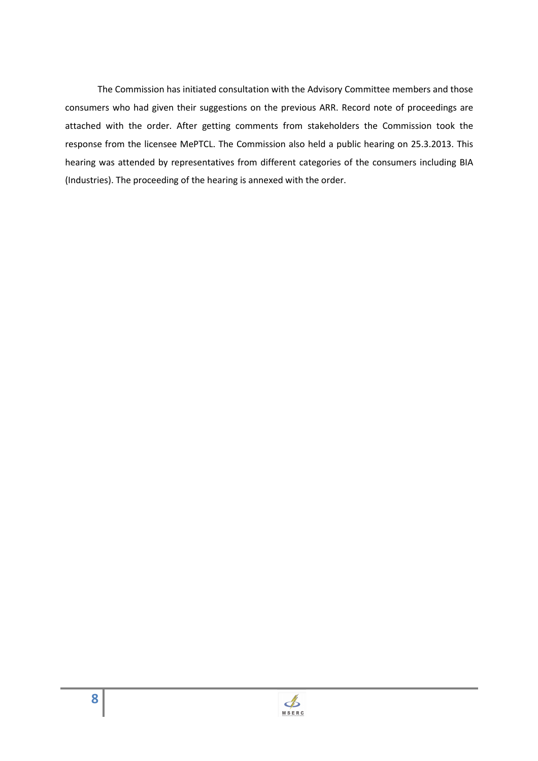The Commission has initiated consultation with the Advisory Committee members and those consumers who had given their suggestions on the previous ARR. Record note of proceedings are attached with the order. After getting comments from stakeholders the Commission took the response from the licensee MePTCL. The Commission also held a public hearing on 25.3.2013. This hearing was attended by representatives from different categories of the consumers including BIA (Industries). The proceeding of the hearing is annexed with the order.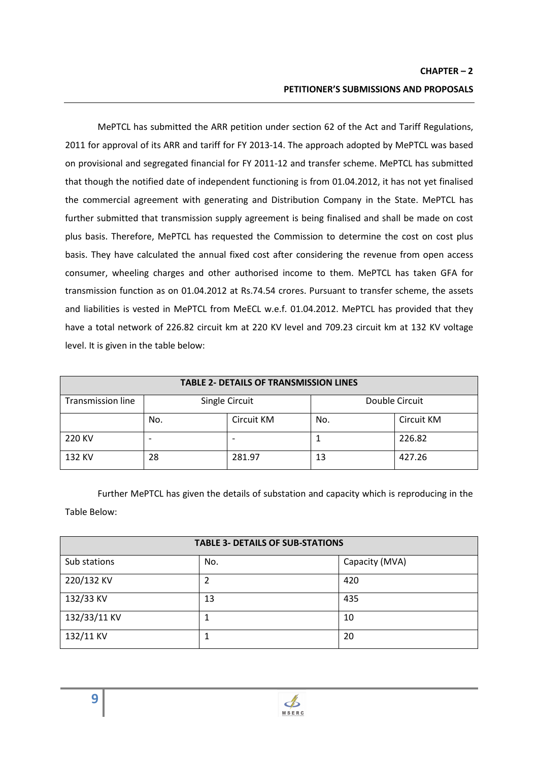MePTCL has submitted the ARR petition under section 62 of the Act and Tariff Regulations, 2011 for approval of its ARR and tariff for FY 2013-14. The approach adopted by MePTCL was based on provisional and segregated financial for FY 2011-12 and transfer scheme. MePTCL has submitted that though the notified date of independent functioning is from 01.04.2012, it has not yet finalised the commercial agreement with generating and Distribution Company in the State. MePTCL has further submitted that transmission supply agreement is being finalised and shall be made on cost plus basis. Therefore, MePTCL has requested the Commission to determine the cost on cost plus basis. They have calculated the annual fixed cost after considering the revenue from open access consumer, wheeling charges and other authorised income to them. MePTCL has taken GFA for transmission function as on 01.04.2012 at Rs.74.54 crores. Pursuant to transfer scheme, the assets and liabilities is vested in MePTCL from MeECL w.e.f. 01.04.2012. MePTCL has provided that they have a total network of 226.82 circuit km at 220 KV level and 709.23 circuit km at 132 KV voltage level. It is given in the table below:

| <b>TABLE 2- DETAILS OF TRANSMISSION LINES</b> |                                  |            |     |            |
|-----------------------------------------------|----------------------------------|------------|-----|------------|
| Transmission line                             | Double Circuit<br>Single Circuit |            |     |            |
|                                               | No.                              | Circuit KM | No. | Circuit KM |
| 220 KV                                        |                                  |            |     | 226.82     |
| 132 KV                                        | 28                               | 281.97     | 13  | 427.26     |

Further MePTCL has given the details of substation and capacity which is reproducing in the Table Below:

| <b>TABLE 3- DETAILS OF SUB-STATIONS</b> |     |                |  |
|-----------------------------------------|-----|----------------|--|
| Sub stations                            | No. | Capacity (MVA) |  |
| 220/132 KV                              | 2   | 420            |  |
| 132/33 KV                               | 13  | 435            |  |
| 132/33/11 KV                            | 1   | 10             |  |
| 132/11 KV                               | 1   | 20             |  |

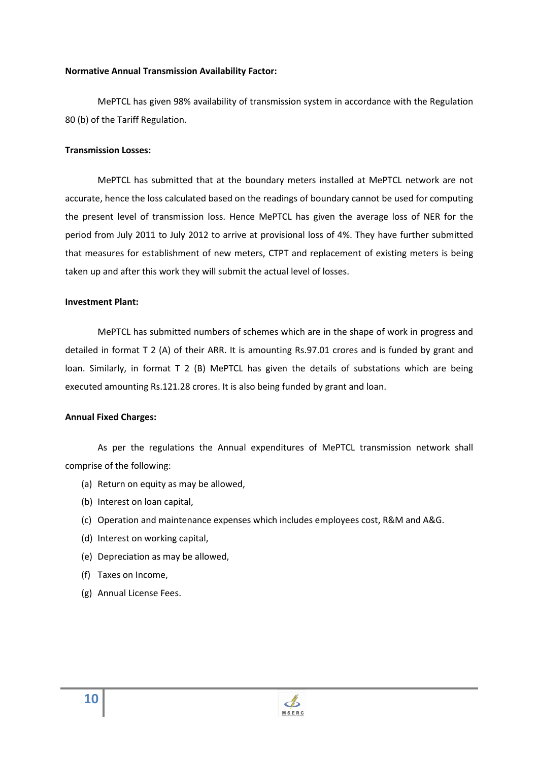#### **Normative Annual Transmission Availability Factor:**

MePTCL has given 98% availability of transmission system in accordance with the Regulation 80 (b) of the Tariff Regulation.

#### **Transmission Losses:**

 MePTCL has submitted that at the boundary meters installed at MePTCL network are not accurate, hence the loss calculated based on the readings of boundary cannot be used for computing the present level of transmission loss. Hence MePTCL has given the average loss of NER for the period from July 2011 to July 2012 to arrive at provisional loss of 4%. They have further submitted that measures for establishment of new meters, CTPT and replacement of existing meters is being taken up and after this work they will submit the actual level of losses.

#### **Investment Plant:**

 MePTCL has submitted numbers of schemes which are in the shape of work in progress and detailed in format T 2 (A) of their ARR. It is amounting Rs.97.01 crores and is funded by grant and loan. Similarly, in format T 2 (B) MePTCL has given the details of substations which are being executed amounting Rs.121.28 crores. It is also being funded by grant and loan.

### **Annual Fixed Charges:**

 As per the regulations the Annual expenditures of MePTCL transmission network shall comprise of the following:

- (a) Return on equity as may be allowed,
- (b) Interest on loan capital,
- (c) Operation and maintenance expenses which includes employees cost, R&M and A&G.
- (d) Interest on working capital,
- (e) Depreciation as may be allowed,
- (f) Taxes on Income,
- (g) Annual License Fees.

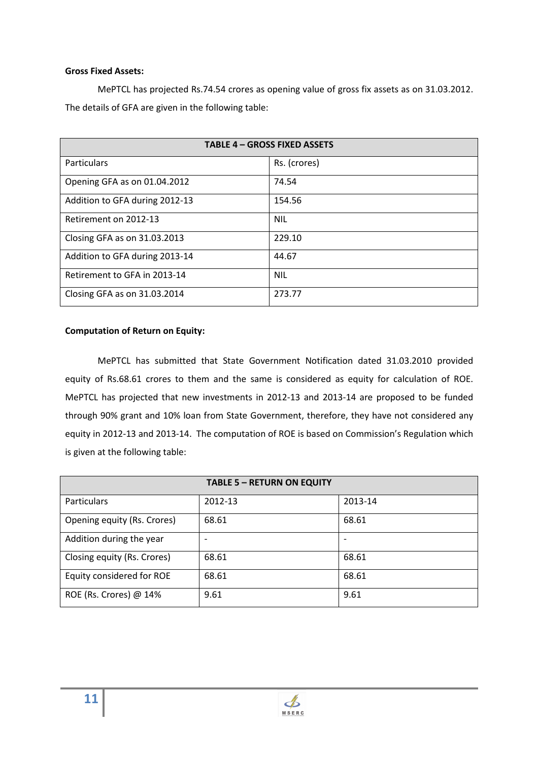## **Gross Fixed Assets:**

 MePTCL has projected Rs.74.54 crores as opening value of gross fix assets as on 31.03.2012. The details of GFA are given in the following table:

| <b>TABLE 4 - GROSS FIXED ASSETS</b> |              |  |
|-------------------------------------|--------------|--|
| <b>Particulars</b>                  | Rs. (crores) |  |
| Opening GFA as on 01.04.2012        | 74.54        |  |
| Addition to GFA during 2012-13      | 154.56       |  |
| Retirement on 2012-13               | <b>NIL</b>   |  |
| Closing GFA as on 31.03.2013        | 229.10       |  |
| Addition to GFA during 2013-14      | 44.67        |  |
| Retirement to GFA in 2013-14        | <b>NIL</b>   |  |
| Closing GFA as on 31.03.2014        | 273.77       |  |

# **Computation of Return on Equity:**

 MePTCL has submitted that State Government Notification dated 31.03.2010 provided equity of Rs.68.61 crores to them and the same is considered as equity for calculation of ROE. MePTCL has projected that new investments in 2012-13 and 2013-14 are proposed to be funded through 90% grant and 10% loan from State Government, therefore, they have not considered any equity in 2012-13 and 2013-14. The computation of ROE is based on Commission's Regulation which is given at the following table:

| <b>TABLE 5 - RETURN ON EQUITY</b> |         |         |  |
|-----------------------------------|---------|---------|--|
| <b>Particulars</b>                | 2012-13 | 2013-14 |  |
| Opening equity (Rs. Crores)       | 68.61   | 68.61   |  |
| Addition during the year          |         |         |  |
| Closing equity (Rs. Crores)       | 68.61   | 68.61   |  |
| Equity considered for ROE         | 68.61   | 68.61   |  |
| ROE (Rs. Crores) @ 14%            | 9.61    | 9.61    |  |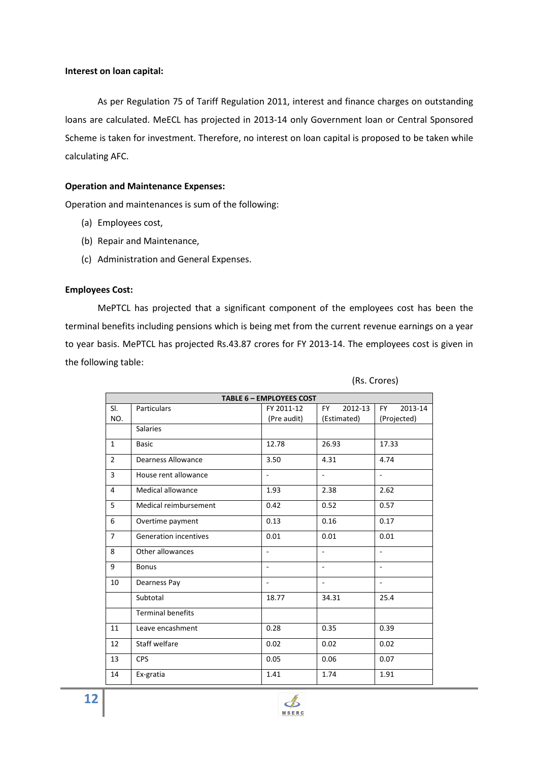As per Regulation 75 of Tariff Regulation 2011, interest and finance charges on outstanding loans are calculated. MeECL has projected in 2013-14 only Government loan or Central Sponsored Scheme is taken for investment. Therefore, no interest on loan capital is proposed to be taken while calculating AFC.

## **Operation and Maintenance Expenses:**

Operation and maintenances is sum of the following:

- (a) Employees cost,
- (b) Repair and Maintenance,
- (c) Administration and General Expenses.

### **Employees Cost:**

 MePTCL has projected that a significant component of the employees cost has been the terminal benefits including pensions which is being met from the current revenue earnings on a year to year basis. MePTCL has projected Rs.43.87 crores for FY 2013-14. The employees cost is given in the following table:

| TABLE 6 - EMPLOYEES COST |                              |                |                      |                          |
|--------------------------|------------------------------|----------------|----------------------|--------------------------|
| SI.                      | <b>Particulars</b>           | FY 2011-12     | 2012-13<br><b>FY</b> | 2013-14<br><b>FY</b>     |
| NO.                      |                              | (Pre audit)    | (Estimated)          | (Projected)              |
|                          | <b>Salaries</b>              |                |                      |                          |
| 1                        | <b>Basic</b>                 | 12.78          | 26.93                | 17.33                    |
| $\overline{2}$           | <b>Dearness Allowance</b>    | 3.50           | 4.31                 | 4.74                     |
| $\overline{\mathbf{3}}$  | House rent allowance         | $\overline{a}$ | ÷,                   | $\overline{\phantom{a}}$ |
| $\overline{4}$           | Medical allowance            | 1.93           | 2.38                 | 2.62                     |
| 5                        | Medical reimbursement        | 0.42           | 0.52                 | 0.57                     |
| 6                        | Overtime payment             | 0.13           | 0.16                 | 0.17                     |
| $\overline{7}$           | <b>Generation incentives</b> | 0.01           | 0.01                 | 0.01                     |
| 8                        | Other allowances             | $\overline{a}$ | ÷,                   |                          |
| 9                        | <b>Bonus</b>                 |                |                      |                          |
| 10                       | Dearness Pay                 |                | $\overline{a}$       | ÷.                       |
|                          | Subtotal                     | 18.77          | 34.31                | 25.4                     |
|                          | <b>Terminal benefits</b>     |                |                      |                          |
| 11                       | Leave encashment             | 0.28           | 0.35                 | 0.39                     |
| 12                       | <b>Staff welfare</b>         | 0.02           | 0.02                 | 0.02                     |
| 13                       | <b>CPS</b>                   | 0.05           | 0.06                 | 0.07                     |
| 14                       | Ex-gratia                    | 1.41           | 1.74                 | 1.91                     |

(Rs. Crores)

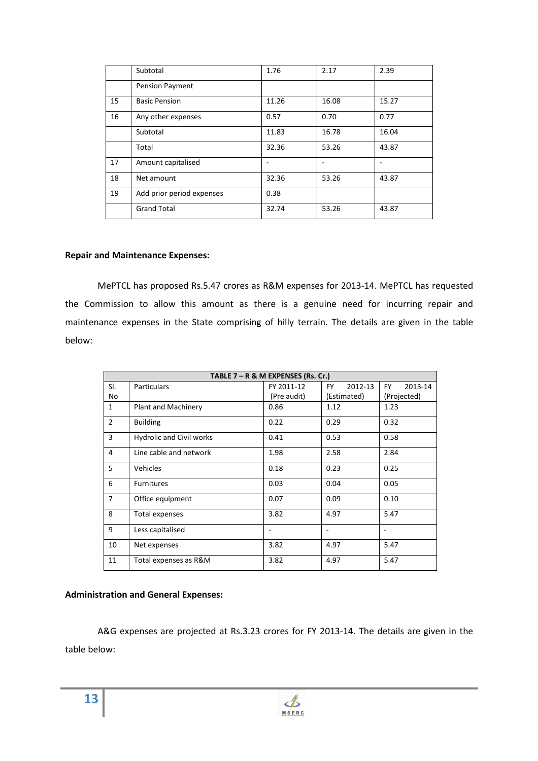|    | Subtotal                  | 1.76  | 2.17  | 2.39  |
|----|---------------------------|-------|-------|-------|
|    | <b>Pension Payment</b>    |       |       |       |
| 15 | <b>Basic Pension</b>      | 11.26 | 16.08 | 15.27 |
| 16 | Any other expenses        | 0.57  | 0.70  | 0.77  |
|    | Subtotal                  | 11.83 | 16.78 | 16.04 |
|    | Total                     | 32.36 | 53.26 | 43.87 |
| 17 | Amount capitalised        |       |       |       |
| 18 | Net amount                | 32.36 | 53.26 | 43.87 |
| 19 | Add prior period expenses | 0.38  |       |       |
|    | <b>Grand Total</b>        | 32.74 | 53.26 | 43.87 |

## **Repair and Maintenance Expenses:**

 MePTCL has proposed Rs.5.47 crores as R&M expenses for 2013-14. MePTCL has requested the Commission to allow this amount as there is a genuine need for incurring repair and maintenance expenses in the State comprising of hilly terrain. The details are given in the table below:

| TABLE 7 - R & M EXPENSES (Rs. Cr.) |                                 |                           |                                     |                                     |
|------------------------------------|---------------------------------|---------------------------|-------------------------------------|-------------------------------------|
| SI.<br>No                          | <b>Particulars</b>              | FY 2011-12<br>(Pre audit) | <b>FY</b><br>2012-13<br>(Estimated) | <b>FY</b><br>2013-14<br>(Projected) |
| $\mathbf{1}$                       | Plant and Machinery             | 0.86                      | 1.12                                | 1.23                                |
| $\overline{2}$                     | <b>Building</b>                 | 0.22                      | 0.29                                | 0.32                                |
| 3                                  | <b>Hydrolic and Civil works</b> | 0.41                      | 0.53                                | 0.58                                |
| 4                                  | Line cable and network          | 1.98                      | 2.58                                | 2.84                                |
| 5                                  | Vehicles                        | 0.18                      | 0.23                                | 0.25                                |
| 6                                  | Furnitures                      | 0.03                      | 0.04                                | 0.05                                |
| $\overline{7}$                     | Office equipment                | 0.07                      | 0.09                                | 0.10                                |
| 8                                  | Total expenses                  | 3.82                      | 4.97                                | 5.47                                |
| 9                                  | Less capitalised                | ٠                         | $\overline{\phantom{m}}$            | ۰                                   |
| 10                                 | Net expenses                    | 3.82                      | 4.97                                | 5.47                                |
| 11                                 | Total expenses as R&M           | 3.82                      | 4.97                                | 5.47                                |

### **Administration and General Expenses:**

 A&G expenses are projected at Rs.3.23 crores for FY 2013-14. The details are given in the table below: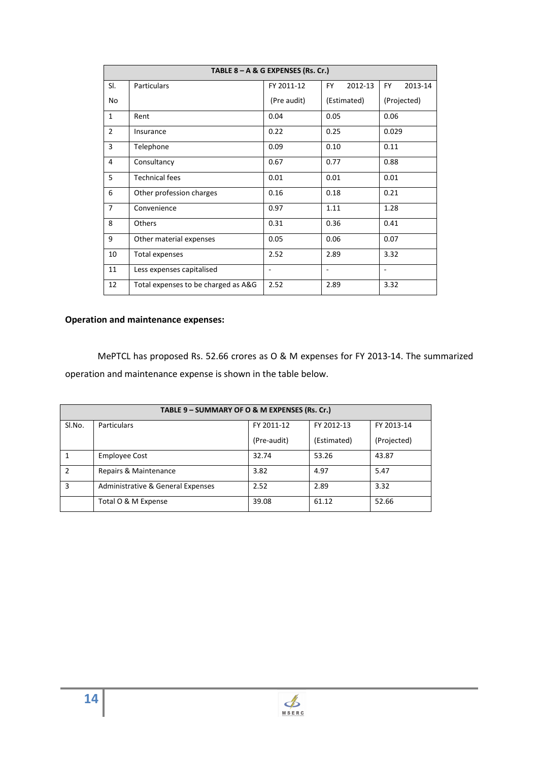|                | TABLE 8 - A & G EXPENSES (Rs. Cr.)  |             |                      |                      |
|----------------|-------------------------------------|-------------|----------------------|----------------------|
| SI.            | <b>Particulars</b>                  | FY 2011-12  | 2012-13<br><b>FY</b> | 2013-14<br><b>FY</b> |
| No             |                                     | (Pre audit) | (Estimated)          | (Projected)          |
| $\mathbf{1}$   | Rent                                | 0.04        | 0.05                 | 0.06                 |
| $\overline{2}$ | Insurance                           | 0.22        | 0.25                 | 0.029                |
| 3              | Telephone                           | 0.09        | 0.10                 | 0.11                 |
| 4              | Consultancy                         | 0.67        | 0.77                 | 0.88                 |
| 5              | <b>Technical fees</b>               | 0.01        | 0.01                 | 0.01                 |
| 6              | Other profession charges            | 0.16        | 0.18                 | 0.21                 |
| $\overline{7}$ | Convenience                         | 0.97        | 1.11                 | 1.28                 |
| 8              | <b>Others</b>                       | 0.31        | 0.36                 | 0.41                 |
| 9              | Other material expenses             | 0.05        | 0.06                 | 0.07                 |
| 10             | Total expenses                      | 2.52        | 2.89                 | 3.32                 |
| 11             | Less expenses capitalised           | ۰           | ٠                    | ۰                    |
| 12             | Total expenses to be charged as A&G | 2.52        | 2.89                 | 3.32                 |

# **Operation and maintenance expenses:**

MePTCL has proposed Rs. 52.66 crores as O & M expenses for FY 2013-14. The summarized operation and maintenance expense is shown in the table below.

| TABLE 9 - SUMMARY OF O & M EXPENSES (Rs. Cr.) |                                   |             |             |             |
|-----------------------------------------------|-----------------------------------|-------------|-------------|-------------|
| SI.No.                                        | Particulars                       | FY 2011-12  | FY 2012-13  | FY 2013-14  |
|                                               |                                   | (Pre-audit) | (Estimated) | (Projected) |
|                                               | <b>Employee Cost</b>              | 32.74       | 53.26       | 43.87       |
| $\mathcal{P}$                                 | Repairs & Maintenance             | 3.82        | 4.97        | 5.47        |
| 3                                             | Administrative & General Expenses | 2.52        | 2.89        | 3.32        |
|                                               | Total O & M Expense               | 39.08       | 61.12       | 52.66       |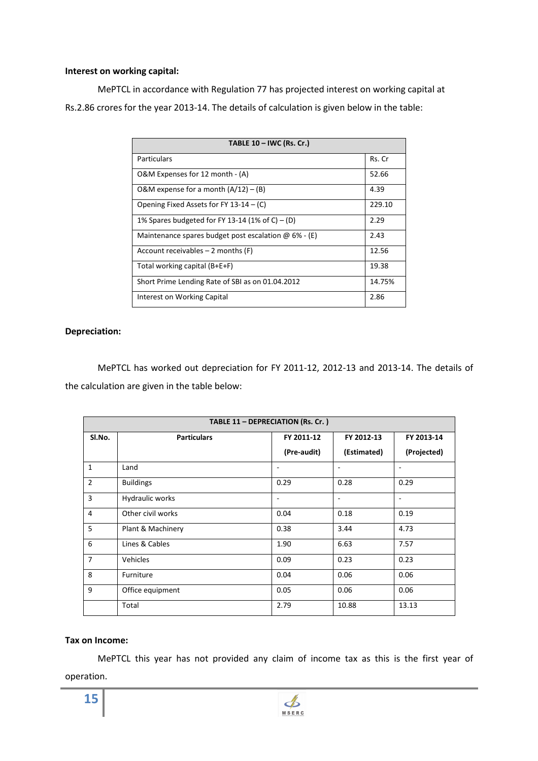# **Interest on working capital:**

MePTCL in accordance with Regulation 77 has projected interest on working capital at Rs.2.86 crores for the year 2013-14. The details of calculation is given below in the table:

| TABLE $10 - IWC$ (Rs. Cr.)                                  |        |  |
|-------------------------------------------------------------|--------|--|
| Particulars                                                 | Rs. Cr |  |
| O&M Expenses for 12 month - (A)                             | 52.66  |  |
| O&M expense for a month $(A/12) - (B)$                      | 4.39   |  |
| Opening Fixed Assets for FY 13-14 $-$ (C)                   | 229.10 |  |
| 1% Spares budgeted for FY 13-14 (1% of C) – (D)             | 2.29   |  |
| Maintenance spares budget post escalation $\omega$ 6% - (E) | 2.43   |  |
| Account receivables $-2$ months (F)                         | 12.56  |  |
| Total working capital (B+E+F)                               | 19.38  |  |
| Short Prime Lending Rate of SBI as on 01.04.2012            | 14.75% |  |
| Interest on Working Capital                                 | 2.86   |  |

# **Depreciation:**

MePTCL has worked out depreciation for FY 2011-12, 2012-13 and 2013-14. The details of the calculation are given in the table below:

|                | TABLE 11 - DEPRECIATION (Rs. Cr.) |             |             |             |  |  |
|----------------|-----------------------------------|-------------|-------------|-------------|--|--|
| SI.No.         | <b>Particulars</b>                | FY 2011-12  | FY 2012-13  | FY 2013-14  |  |  |
|                |                                   | (Pre-audit) | (Estimated) | (Projected) |  |  |
| 1              | Land                              |             | ٠           | ٠           |  |  |
| $\overline{2}$ | <b>Buildings</b>                  | 0.29        | 0.28        | 0.29        |  |  |
| 3              | Hydraulic works                   | ۰           | ٠           | ٠           |  |  |
| 4              | Other civil works                 | 0.04        | 0.18        | 0.19        |  |  |
| 5              | Plant & Machinery                 | 0.38        | 3.44        | 4.73        |  |  |
| 6              | Lines & Cables                    | 1.90        | 6.63        | 7.57        |  |  |
| $\overline{7}$ | Vehicles                          | 0.09        | 0.23        | 0.23        |  |  |
| 8              | Furniture                         | 0.04        | 0.06        | 0.06        |  |  |
| 9              | Office equipment                  | 0.05        | 0.06        | 0.06        |  |  |
|                | Total                             | 2.79        | 10.88       | 13.13       |  |  |

# **Tax on Income:**

MePTCL this year has not provided any claim of income tax as this is the first year of operation.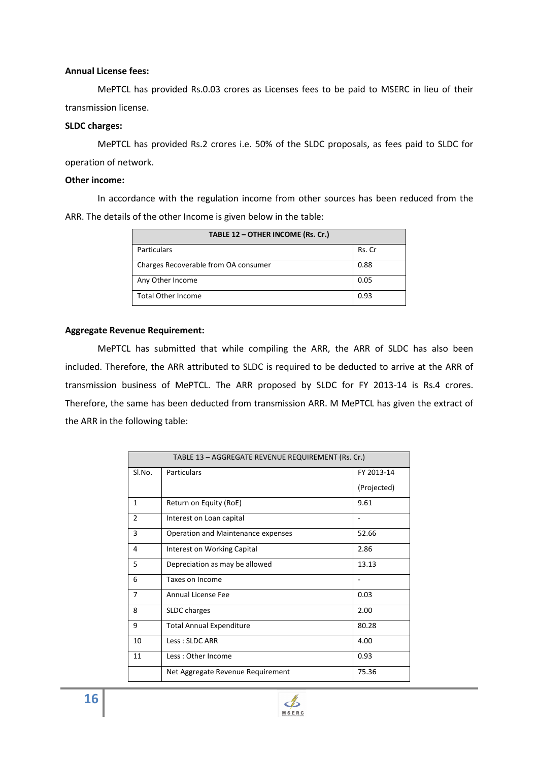#### **Annual License fees:**

 MePTCL has provided Rs.0.03 crores as Licenses fees to be paid to MSERC in lieu of their transmission license.

### **SLDC charges:**

 MePTCL has provided Rs.2 crores i.e. 50% of the SLDC proposals, as fees paid to SLDC for operation of network.

#### **Other income:**

 In accordance with the regulation income from other sources has been reduced from the ARR. The details of the other Income is given below in the table:

| TABLE 12 - OTHER INCOME (Rs. Cr.)    |        |  |  |  |
|--------------------------------------|--------|--|--|--|
| Particulars                          | Rs. Cr |  |  |  |
| Charges Recoverable from OA consumer | 0.88   |  |  |  |
| Any Other Income                     | 0.05   |  |  |  |
| <b>Total Other Income</b>            | 0.93   |  |  |  |

#### **Aggregate Revenue Requirement:**

 MePTCL has submitted that while compiling the ARR, the ARR of SLDC has also been included. Therefore, the ARR attributed to SLDC is required to be deducted to arrive at the ARR of transmission business of MePTCL. The ARR proposed by SLDC for FY 2013-14 is Rs.4 crores. Therefore, the same has been deducted from transmission ARR. M MePTCL has given the extract of the ARR in the following table:

|                | TABLE 13 - AGGREGATE REVENUE REQUIREMENT (Rs. Cr.) |             |  |  |  |  |
|----------------|----------------------------------------------------|-------------|--|--|--|--|
| SI.No.         | <b>Particulars</b>                                 | FY 2013-14  |  |  |  |  |
|                |                                                    | (Projected) |  |  |  |  |
| 1              | Return on Equity (RoE)                             | 9.61        |  |  |  |  |
| $\overline{2}$ | Interest on Loan capital                           |             |  |  |  |  |
| 3              | Operation and Maintenance expenses                 | 52.66       |  |  |  |  |
| 4              | Interest on Working Capital                        | 2.86        |  |  |  |  |
| 5              | Depreciation as may be allowed                     | 13.13       |  |  |  |  |
| 6              | Taxes on Income                                    |             |  |  |  |  |
| 7              | Annual License Fee                                 | 0.03        |  |  |  |  |
| 8              | SLDC charges                                       | 2.00        |  |  |  |  |
| 9              | <b>Total Annual Expenditure</b>                    | 80.28       |  |  |  |  |
| 10             | Less: SLDC ARR                                     | 4.00        |  |  |  |  |
| 11             | Less: Other Income                                 | 0.93        |  |  |  |  |
|                | Net Aggregate Revenue Requirement                  | 75.36       |  |  |  |  |

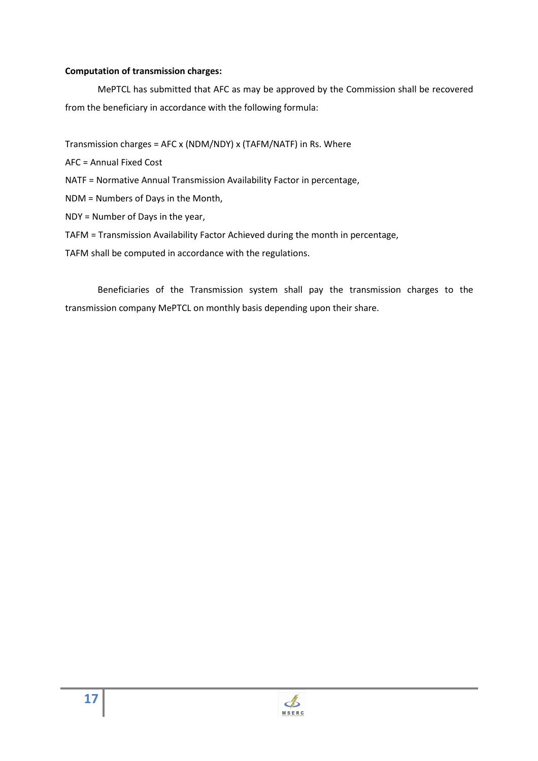# **Computation of transmission charges:**

 MePTCL has submitted that AFC as may be approved by the Commission shall be recovered from the beneficiary in accordance with the following formula:

Transmission charges = AFC x (NDM/NDY) x (TAFM/NATF) in Rs. Where

- AFC = Annual Fixed Cost
- NATF = Normative Annual Transmission Availability Factor in percentage,
- NDM = Numbers of Days in the Month,
- NDY = Number of Days in the year,
- TAFM = Transmission Availability Factor Achieved during the month in percentage,
- TAFM shall be computed in accordance with the regulations.

Beneficiaries of the Transmission system shall pay the transmission charges to the transmission company MePTCL on monthly basis depending upon their share.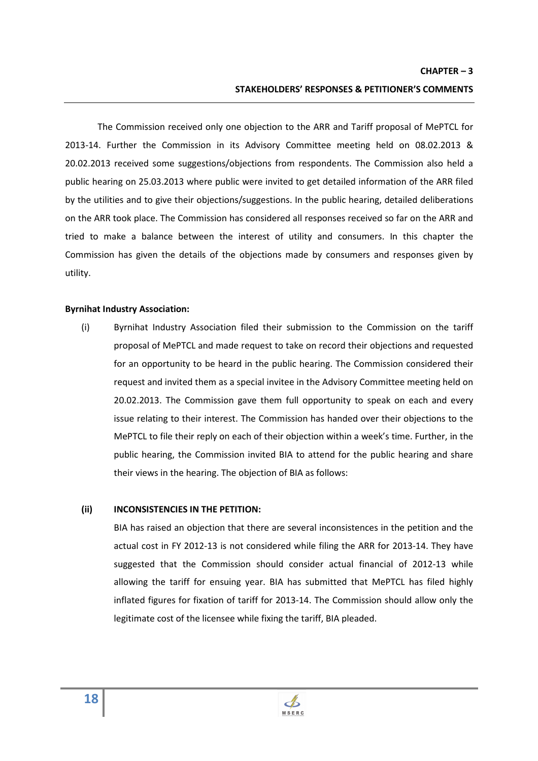The Commission received only one objection to the ARR and Tariff proposal of MePTCL for 2013-14. Further the Commission in its Advisory Committee meeting held on 08.02.2013 & 20.02.2013 received some suggestions/objections from respondents. The Commission also held a public hearing on 25.03.2013 where public were invited to get detailed information of the ARR filed by the utilities and to give their objections/suggestions. In the public hearing, detailed deliberations on the ARR took place. The Commission has considered all responses received so far on the ARR and tried to make a balance between the interest of utility and consumers. In this chapter the Commission has given the details of the objections made by consumers and responses given by utility.

## **Byrnihat Industry Association:**

(i) Byrnihat Industry Association filed their submission to the Commission on the tariff proposal of MePTCL and made request to take on record their objections and requested for an opportunity to be heard in the public hearing. The Commission considered their request and invited them as a special invitee in the Advisory Committee meeting held on 20.02.2013. The Commission gave them full opportunity to speak on each and every issue relating to their interest. The Commission has handed over their objections to the MePTCL to file their reply on each of their objection within a week's time. Further, in the public hearing, the Commission invited BIA to attend for the public hearing and share their views in the hearing. The objection of BIA as follows:

# **(ii) INCONSISTENCIES IN THE PETITION:**

BIA has raised an objection that there are several inconsistences in the petition and the actual cost in FY 2012-13 is not considered while filing the ARR for 2013-14. They have suggested that the Commission should consider actual financial of 2012-13 while allowing the tariff for ensuing year. BIA has submitted that MePTCL has filed highly inflated figures for fixation of tariff for 2013-14. The Commission should allow only the legitimate cost of the licensee while fixing the tariff, BIA pleaded.

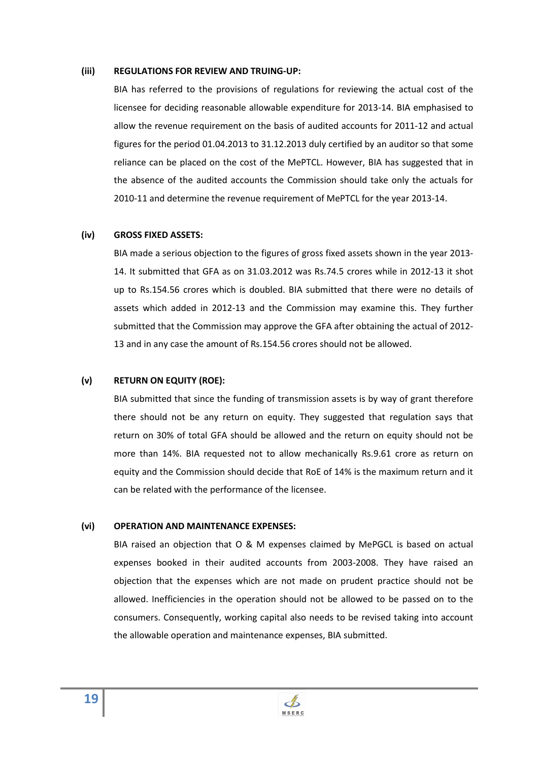#### **(iii) REGULATIONS FOR REVIEW AND TRUING-UP:**

BIA has referred to the provisions of regulations for reviewing the actual cost of the licensee for deciding reasonable allowable expenditure for 2013-14. BIA emphasised to allow the revenue requirement on the basis of audited accounts for 2011-12 and actual figures for the period 01.04.2013 to 31.12.2013 duly certified by an auditor so that some reliance can be placed on the cost of the MePTCL. However, BIA has suggested that in the absence of the audited accounts the Commission should take only the actuals for 2010-11 and determine the revenue requirement of MePTCL for the year 2013-14.

#### **(iv) GROSS FIXED ASSETS:**

BIA made a serious objection to the figures of gross fixed assets shown in the year 2013- 14. It submitted that GFA as on 31.03.2012 was Rs.74.5 crores while in 2012-13 it shot up to Rs.154.56 crores which is doubled. BIA submitted that there were no details of assets which added in 2012-13 and the Commission may examine this. They further submitted that the Commission may approve the GFA after obtaining the actual of 2012- 13 and in any case the amount of Rs.154.56 crores should not be allowed.

#### **(v) RETURN ON EQUITY (ROE):**

BIA submitted that since the funding of transmission assets is by way of grant therefore there should not be any return on equity. They suggested that regulation says that return on 30% of total GFA should be allowed and the return on equity should not be more than 14%. BIA requested not to allow mechanically Rs.9.61 crore as return on equity and the Commission should decide that RoE of 14% is the maximum return and it can be related with the performance of the licensee.

#### **(vi) OPERATION AND MAINTENANCE EXPENSES:**

BIA raised an objection that O & M expenses claimed by MePGCL is based on actual expenses booked in their audited accounts from 2003-2008. They have raised an objection that the expenses which are not made on prudent practice should not be allowed. Inefficiencies in the operation should not be allowed to be passed on to the consumers. Consequently, working capital also needs to be revised taking into account the allowable operation and maintenance expenses, BIA submitted.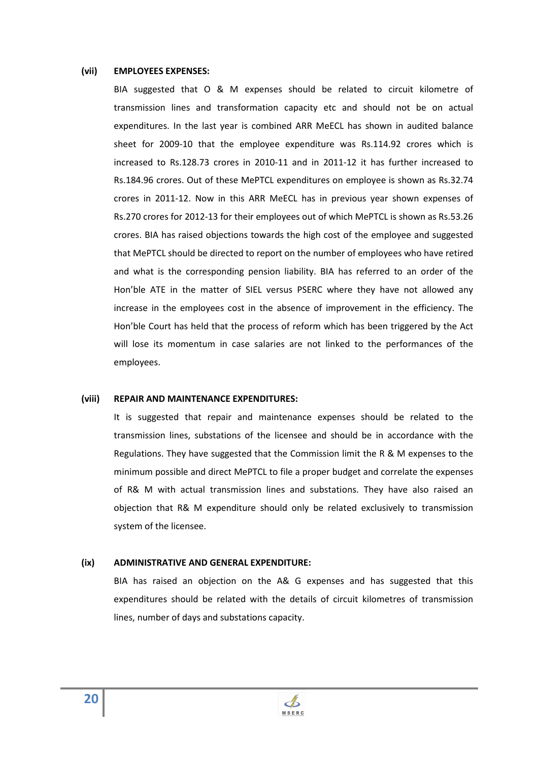#### **(vii) EMPLOYEES EXPENSES:**

BIA suggested that O & M expenses should be related to circuit kilometre of transmission lines and transformation capacity etc and should not be on actual expenditures. In the last year is combined ARR MeECL has shown in audited balance sheet for 2009-10 that the employee expenditure was Rs.114.92 crores which is increased to Rs.128.73 crores in 2010-11 and in 2011-12 it has further increased to Rs.184.96 crores. Out of these MePTCL expenditures on employee is shown as Rs.32.74 crores in 2011-12. Now in this ARR MeECL has in previous year shown expenses of Rs.270 crores for 2012-13 for their employees out of which MePTCL is shown as Rs.53.26 crores. BIA has raised objections towards the high cost of the employee and suggested that MePTCL should be directed to report on the number of employees who have retired and what is the corresponding pension liability. BIA has referred to an order of the Hon'ble ATE in the matter of SIEL versus PSERC where they have not allowed any increase in the employees cost in the absence of improvement in the efficiency. The Hon'ble Court has held that the process of reform which has been triggered by the Act will lose its momentum in case salaries are not linked to the performances of the employees.

#### **(viii) REPAIR AND MAINTENANCE EXPENDITURES:**

It is suggested that repair and maintenance expenses should be related to the transmission lines, substations of the licensee and should be in accordance with the Regulations. They have suggested that the Commission limit the R & M expenses to the minimum possible and direct MePTCL to file a proper budget and correlate the expenses of R& M with actual transmission lines and substations. They have also raised an objection that R& M expenditure should only be related exclusively to transmission system of the licensee.

#### **(ix) ADMINISTRATIVE AND GENERAL EXPENDITURE:**

BIA has raised an objection on the A& G expenses and has suggested that this expenditures should be related with the details of circuit kilometres of transmission lines, number of days and substations capacity.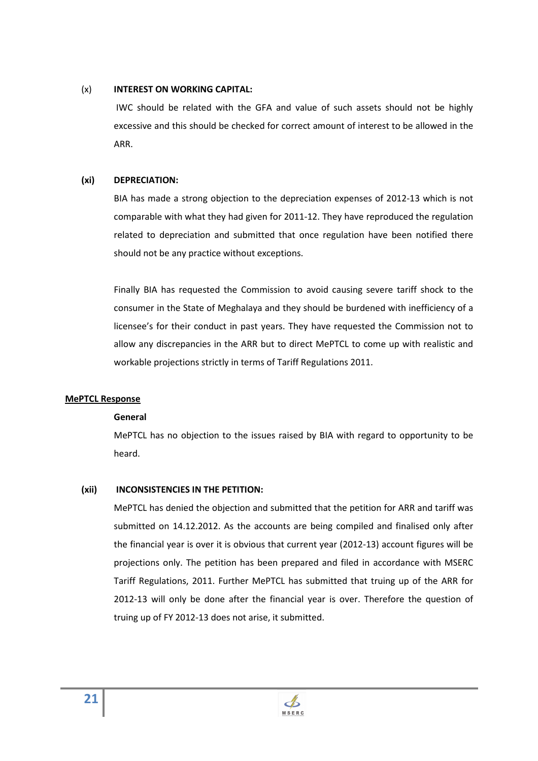## (x) **INTEREST ON WORKING CAPITAL:**

 IWC should be related with the GFA and value of such assets should not be highly excessive and this should be checked for correct amount of interest to be allowed in the ARR.

## **(xi) DEPRECIATION:**

BIA has made a strong objection to the depreciation expenses of 2012-13 which is not comparable with what they had given for 2011-12. They have reproduced the regulation related to depreciation and submitted that once regulation have been notified there should not be any practice without exceptions.

Finally BIA has requested the Commission to avoid causing severe tariff shock to the consumer in the State of Meghalaya and they should be burdened with inefficiency of a licensee's for their conduct in past years. They have requested the Commission not to allow any discrepancies in the ARR but to direct MePTCL to come up with realistic and workable projections strictly in terms of Tariff Regulations 2011.

# **MePTCL Response**

### **General**

MePTCL has no objection to the issues raised by BIA with regard to opportunity to be heard.

# **(xii) INCONSISTENCIES IN THE PETITION:**

MePTCL has denied the objection and submitted that the petition for ARR and tariff was submitted on 14.12.2012. As the accounts are being compiled and finalised only after the financial year is over it is obvious that current year (2012-13) account figures will be projections only. The petition has been prepared and filed in accordance with MSERC Tariff Regulations, 2011. Further MePTCL has submitted that truing up of the ARR for 2012-13 will only be done after the financial year is over. Therefore the question of truing up of FY 2012-13 does not arise, it submitted.

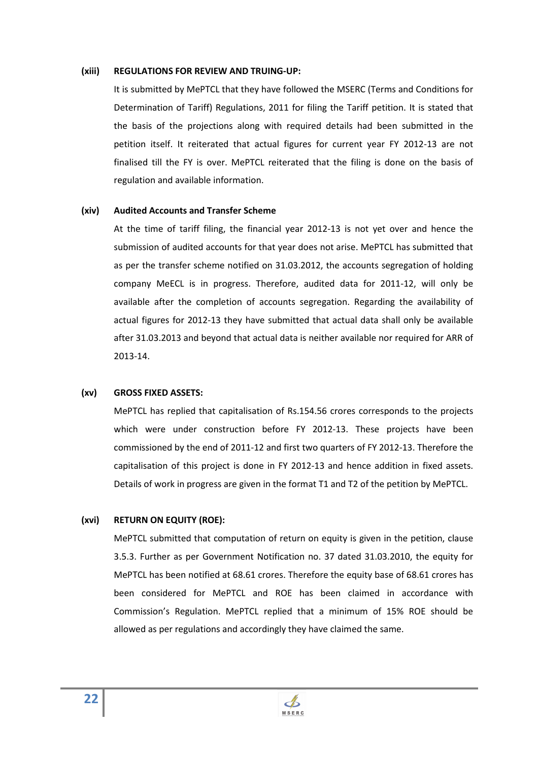#### **(xiii) REGULATIONS FOR REVIEW AND TRUING-UP:**

It is submitted by MePTCL that they have followed the MSERC (Terms and Conditions for Determination of Tariff) Regulations, 2011 for filing the Tariff petition. It is stated that the basis of the projections along with required details had been submitted in the petition itself. It reiterated that actual figures for current year FY 2012-13 are not finalised till the FY is over. MePTCL reiterated that the filing is done on the basis of regulation and available information.

### **(xiv) Audited Accounts and Transfer Scheme**

At the time of tariff filing, the financial year 2012-13 is not yet over and hence the submission of audited accounts for that year does not arise. MePTCL has submitted that as per the transfer scheme notified on 31.03.2012, the accounts segregation of holding company MeECL is in progress. Therefore, audited data for 2011-12, will only be available after the completion of accounts segregation. Regarding the availability of actual figures for 2012-13 they have submitted that actual data shall only be available after 31.03.2013 and beyond that actual data is neither available nor required for ARR of 2013-14.

# **(xv) GROSS FIXED ASSETS:**

MePTCL has replied that capitalisation of Rs.154.56 crores corresponds to the projects which were under construction before FY 2012-13. These projects have been commissioned by the end of 2011-12 and first two quarters of FY 2012-13. Therefore the capitalisation of this project is done in FY 2012-13 and hence addition in fixed assets. Details of work in progress are given in the format T1 and T2 of the petition by MePTCL.

# **(xvi) RETURN ON EQUITY (ROE):**

MePTCL submitted that computation of return on equity is given in the petition, clause 3.5.3. Further as per Government Notification no. 37 dated 31.03.2010, the equity for MePTCL has been notified at 68.61 crores. Therefore the equity base of 68.61 crores has been considered for MePTCL and ROE has been claimed in accordance with Commission's Regulation. MePTCL replied that a minimum of 15% ROE should be allowed as per regulations and accordingly they have claimed the same.

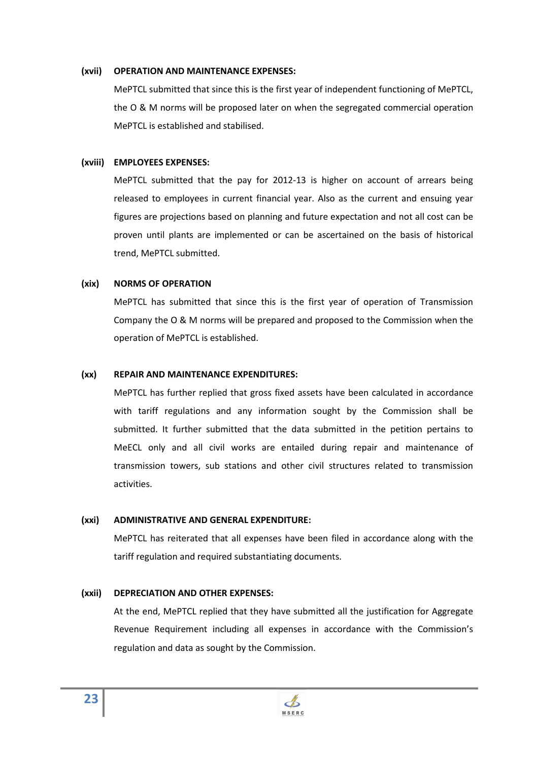#### **(xvii) OPERATION AND MAINTENANCE EXPENSES:**

MePTCL submitted that since this is the first year of independent functioning of MePTCL, the O & M norms will be proposed later on when the segregated commercial operation MePTCL is established and stabilised.

### **(xviii) EMPLOYEES EXPENSES:**

MePTCL submitted that the pay for 2012-13 is higher on account of arrears being released to employees in current financial year. Also as the current and ensuing year figures are projections based on planning and future expectation and not all cost can be proven until plants are implemented or can be ascertained on the basis of historical trend, MePTCL submitted.

## **(xix) NORMS OF OPERATION**

MePTCL has submitted that since this is the first year of operation of Transmission Company the O & M norms will be prepared and proposed to the Commission when the operation of MePTCL is established.

## **(xx) REPAIR AND MAINTENANCE EXPENDITURES:**

MePTCL has further replied that gross fixed assets have been calculated in accordance with tariff regulations and any information sought by the Commission shall be submitted. It further submitted that the data submitted in the petition pertains to MeECL only and all civil works are entailed during repair and maintenance of transmission towers, sub stations and other civil structures related to transmission activities.

### **(xxi) ADMINISTRATIVE AND GENERAL EXPENDITURE:**

MePTCL has reiterated that all expenses have been filed in accordance along with the tariff regulation and required substantiating documents.

# **(xxii) DEPRECIATION AND OTHER EXPENSES:**

At the end, MePTCL replied that they have submitted all the justification for Aggregate Revenue Requirement including all expenses in accordance with the Commission's regulation and data as sought by the Commission.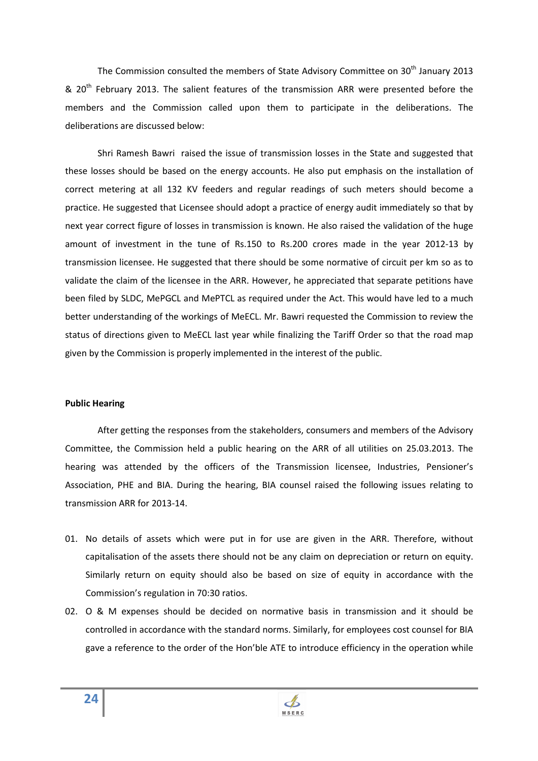The Commission consulted the members of State Advisory Committee on  $30<sup>th</sup>$  January 2013 & 20<sup>th</sup> February 2013. The salient features of the transmission ARR were presented before the members and the Commission called upon them to participate in the deliberations. The deliberations are discussed below:

 Shri Ramesh Bawri raised the issue of transmission losses in the State and suggested that these losses should be based on the energy accounts. He also put emphasis on the installation of correct metering at all 132 KV feeders and regular readings of such meters should become a practice. He suggested that Licensee should adopt a practice of energy audit immediately so that by next year correct figure of losses in transmission is known. He also raised the validation of the huge amount of investment in the tune of Rs.150 to Rs.200 crores made in the year 2012-13 by transmission licensee. He suggested that there should be some normative of circuit per km so as to validate the claim of the licensee in the ARR. However, he appreciated that separate petitions have been filed by SLDC, MePGCL and MePTCL as required under the Act. This would have led to a much better understanding of the workings of MeECL. Mr. Bawri requested the Commission to review the status of directions given to MeECL last year while finalizing the Tariff Order so that the road map given by the Commission is properly implemented in the interest of the public.

#### **Public Hearing**

 After getting the responses from the stakeholders, consumers and members of the Advisory Committee, the Commission held a public hearing on the ARR of all utilities on 25.03.2013. The hearing was attended by the officers of the Transmission licensee, Industries, Pensioner's Association, PHE and BIA. During the hearing, BIA counsel raised the following issues relating to transmission ARR for 2013-14.

- 01. No details of assets which were put in for use are given in the ARR. Therefore, without capitalisation of the assets there should not be any claim on depreciation or return on equity. Similarly return on equity should also be based on size of equity in accordance with the Commission's regulation in 70:30 ratios.
- 02. O & M expenses should be decided on normative basis in transmission and it should be controlled in accordance with the standard norms. Similarly, for employees cost counsel for BIA gave a reference to the order of the Hon'ble ATE to introduce efficiency in the operation while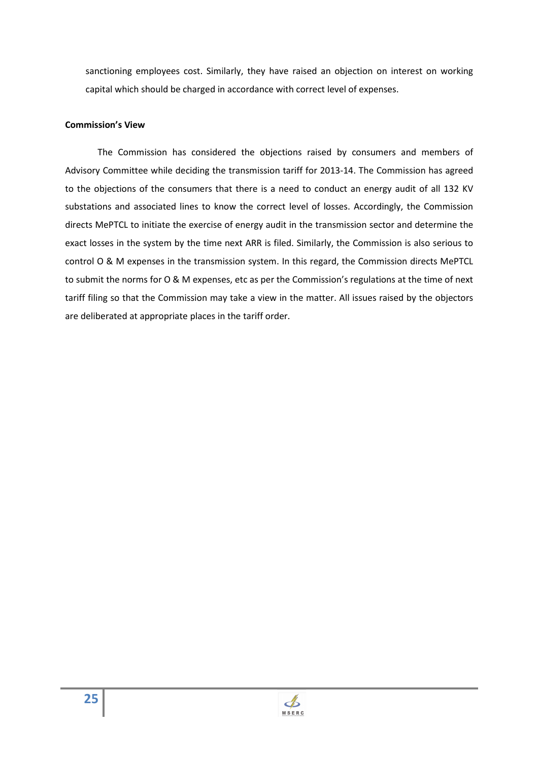sanctioning employees cost. Similarly, they have raised an objection on interest on working capital which should be charged in accordance with correct level of expenses.

## **Commission's View**

The Commission has considered the objections raised by consumers and members of Advisory Committee while deciding the transmission tariff for 2013-14. The Commission has agreed to the objections of the consumers that there is a need to conduct an energy audit of all 132 KV substations and associated lines to know the correct level of losses. Accordingly, the Commission directs MePTCL to initiate the exercise of energy audit in the transmission sector and determine the exact losses in the system by the time next ARR is filed. Similarly, the Commission is also serious to control O & M expenses in the transmission system. In this regard, the Commission directs MePTCL to submit the norms for O & M expenses, etc as per the Commission's regulations at the time of next tariff filing so that the Commission may take a view in the matter. All issues raised by the objectors are deliberated at appropriate places in the tariff order.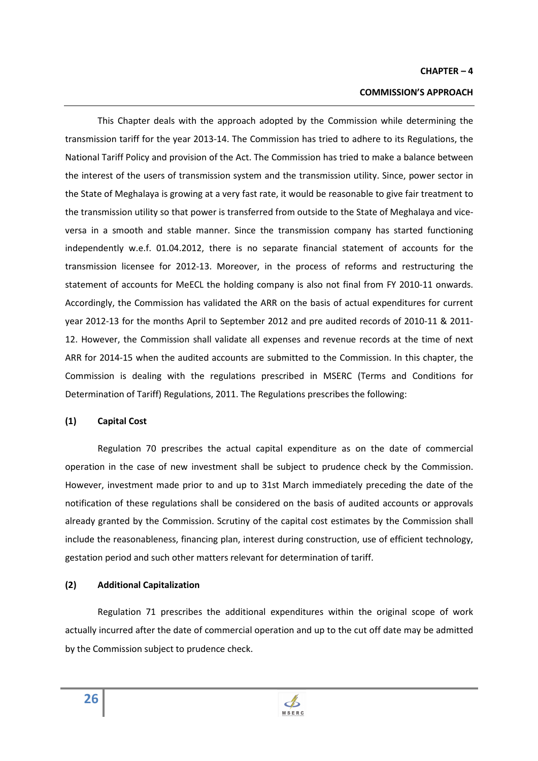This Chapter deals with the approach adopted by the Commission while determining the transmission tariff for the year 2013-14. The Commission has tried to adhere to its Regulations, the National Tariff Policy and provision of the Act. The Commission has tried to make a balance between the interest of the users of transmission system and the transmission utility. Since, power sector in the State of Meghalaya is growing at a very fast rate, it would be reasonable to give fair treatment to the transmission utility so that power is transferred from outside to the State of Meghalaya and viceversa in a smooth and stable manner. Since the transmission company has started functioning independently w.e.f. 01.04.2012, there is no separate financial statement of accounts for the transmission licensee for 2012-13. Moreover, in the process of reforms and restructuring the statement of accounts for MeECL the holding company is also not final from FY 2010-11 onwards. Accordingly, the Commission has validated the ARR on the basis of actual expenditures for current year 2012-13 for the months April to September 2012 and pre audited records of 2010-11 & 2011- 12. However, the Commission shall validate all expenses and revenue records at the time of next ARR for 2014-15 when the audited accounts are submitted to the Commission. In this chapter, the Commission is dealing with the regulations prescribed in MSERC (Terms and Conditions for Determination of Tariff) Regulations, 2011. The Regulations prescribes the following:

# **(1) Capital Cost**

Regulation 70 prescribes the actual capital expenditure as on the date of commercial operation in the case of new investment shall be subject to prudence check by the Commission. However, investment made prior to and up to 31st March immediately preceding the date of the notification of these regulations shall be considered on the basis of audited accounts or approvals already granted by the Commission. Scrutiny of the capital cost estimates by the Commission shall include the reasonableness, financing plan, interest during construction, use of efficient technology, gestation period and such other matters relevant for determination of tariff.

# **(2) Additional Capitalization**

Regulation 71 prescribes the additional expenditures within the original scope of work actually incurred after the date of commercial operation and up to the cut off date may be admitted by the Commission subject to prudence check.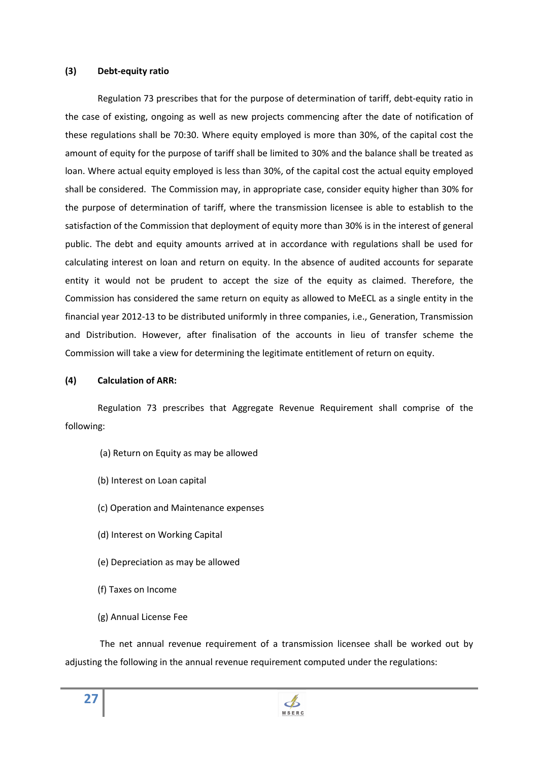#### **(3) Debt-equity ratio**

Regulation 73 prescribes that for the purpose of determination of tariff, debt-equity ratio in the case of existing, ongoing as well as new projects commencing after the date of notification of these regulations shall be 70:30. Where equity employed is more than 30%, of the capital cost the amount of equity for the purpose of tariff shall be limited to 30% and the balance shall be treated as loan. Where actual equity employed is less than 30%, of the capital cost the actual equity employed shall be considered. The Commission may, in appropriate case, consider equity higher than 30% for the purpose of determination of tariff, where the transmission licensee is able to establish to the satisfaction of the Commission that deployment of equity more than 30% is in the interest of general public. The debt and equity amounts arrived at in accordance with regulations shall be used for calculating interest on loan and return on equity. In the absence of audited accounts for separate entity it would not be prudent to accept the size of the equity as claimed. Therefore, the Commission has considered the same return on equity as allowed to MeECL as a single entity in the financial year 2012-13 to be distributed uniformly in three companies, i.e., Generation, Transmission and Distribution. However, after finalisation of the accounts in lieu of transfer scheme the Commission will take a view for determining the legitimate entitlement of return on equity.

### **(4) Calculation of ARR:**

Regulation 73 prescribes that Aggregate Revenue Requirement shall comprise of the following:

- (a) Return on Equity as may be allowed
- (b) Interest on Loan capital
- (c) Operation and Maintenance expenses
- (d) Interest on Working Capital
- (e) Depreciation as may be allowed
- (f) Taxes on Income
- (g) Annual License Fee

 The net annual revenue requirement of a transmission licensee shall be worked out by adjusting the following in the annual revenue requirement computed under the regulations: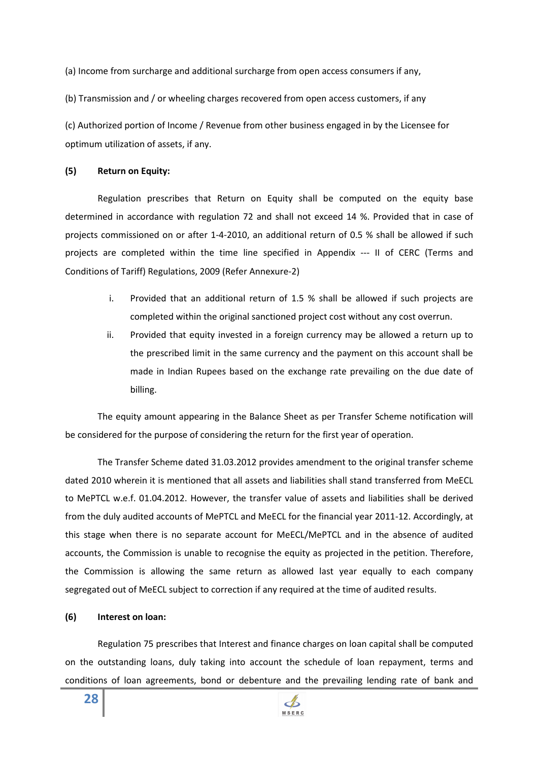(a) Income from surcharge and additional surcharge from open access consumers if any,

(b) Transmission and / or wheeling charges recovered from open access customers, if any

(c) Authorized portion of Income / Revenue from other business engaged in by the Licensee for optimum utilization of assets, if any.

## **(5) Return on Equity:**

Regulation prescribes that Return on Equity shall be computed on the equity base determined in accordance with regulation 72 and shall not exceed 14 %. Provided that in case of projects commissioned on or after 1-4-2010, an additional return of 0.5 % shall be allowed if such projects are completed within the time line specified in Appendix --- II of CERC (Terms and Conditions of Tariff) Regulations, 2009 (Refer Annexure-2)

- i. Provided that an additional return of 1.5 % shall be allowed if such projects are completed within the original sanctioned project cost without any cost overrun.
- ii. Provided that equity invested in a foreign currency may be allowed a return up to the prescribed limit in the same currency and the payment on this account shall be made in Indian Rupees based on the exchange rate prevailing on the due date of billing.

The equity amount appearing in the Balance Sheet as per Transfer Scheme notification will be considered for the purpose of considering the return for the first year of operation.

The Transfer Scheme dated 31.03.2012 provides amendment to the original transfer scheme dated 2010 wherein it is mentioned that all assets and liabilities shall stand transferred from MeECL to MePTCL w.e.f. 01.04.2012. However, the transfer value of assets and liabilities shall be derived from the duly audited accounts of MePTCL and MeECL for the financial year 2011-12. Accordingly, at this stage when there is no separate account for MeECL/MePTCL and in the absence of audited accounts, the Commission is unable to recognise the equity as projected in the petition. Therefore, the Commission is allowing the same return as allowed last year equally to each company segregated out of MeECL subject to correction if any required at the time of audited results.

# **(6) Interest on loan:**

 Regulation 75 prescribes that Interest and finance charges on loan capital shall be computed on the outstanding loans, duly taking into account the schedule of loan repayment, terms and conditions of loan agreements, bond or debenture and the prevailing lending rate of bank and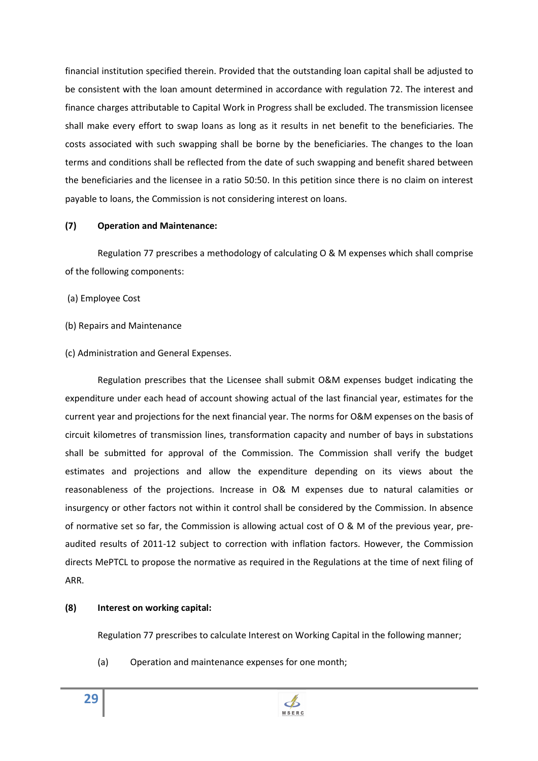financial institution specified therein. Provided that the outstanding loan capital shall be adjusted to be consistent with the loan amount determined in accordance with regulation 72. The interest and finance charges attributable to Capital Work in Progress shall be excluded. The transmission licensee shall make every effort to swap loans as long as it results in net benefit to the beneficiaries. The costs associated with such swapping shall be borne by the beneficiaries. The changes to the loan terms and conditions shall be reflected from the date of such swapping and benefit shared between the beneficiaries and the licensee in a ratio 50:50. In this petition since there is no claim on interest payable to loans, the Commission is not considering interest on loans.

#### **(7) Operation and Maintenance:**

 Regulation 77 prescribes a methodology of calculating O & M expenses which shall comprise of the following components:

(a) Employee Cost

- (b) Repairs and Maintenance
- (c) Administration and General Expenses.

Regulation prescribes that the Licensee shall submit O&M expenses budget indicating the expenditure under each head of account showing actual of the last financial year, estimates for the current year and projections for the next financial year. The norms for O&M expenses on the basis of circuit kilometres of transmission lines, transformation capacity and number of bays in substations shall be submitted for approval of the Commission. The Commission shall verify the budget estimates and projections and allow the expenditure depending on its views about the reasonableness of the projections. Increase in O& M expenses due to natural calamities or insurgency or other factors not within it control shall be considered by the Commission. In absence of normative set so far, the Commission is allowing actual cost of O & M of the previous year, preaudited results of 2011-12 subject to correction with inflation factors. However, the Commission directs MePTCL to propose the normative as required in the Regulations at the time of next filing of ARR.

### **(8) Interest on working capital:**

Regulation 77 prescribes to calculate Interest on Working Capital in the following manner;

(a) Operation and maintenance expenses for one month;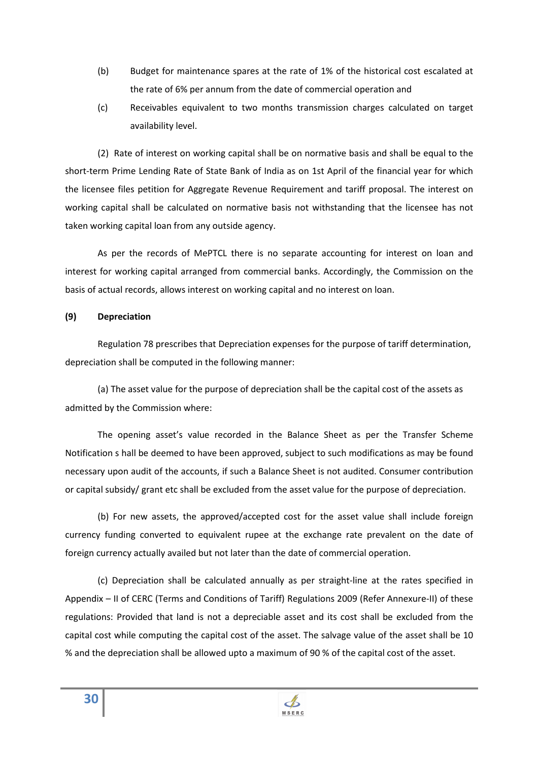- (b) Budget for maintenance spares at the rate of 1% of the historical cost escalated at the rate of 6% per annum from the date of commercial operation and
- (c) Receivables equivalent to two months transmission charges calculated on target availability level.

(2) Rate of interest on working capital shall be on normative basis and shall be equal to the short-term Prime Lending Rate of State Bank of India as on 1st April of the financial year for which the licensee files petition for Aggregate Revenue Requirement and tariff proposal. The interest on working capital shall be calculated on normative basis not withstanding that the licensee has not taken working capital loan from any outside agency.

As per the records of MePTCL there is no separate accounting for interest on loan and interest for working capital arranged from commercial banks. Accordingly, the Commission on the basis of actual records, allows interest on working capital and no interest on loan.

## **(9) Depreciation**

Regulation 78 prescribes that Depreciation expenses for the purpose of tariff determination, depreciation shall be computed in the following manner:

(a) The asset value for the purpose of depreciation shall be the capital cost of the assets as admitted by the Commission where:

The opening asset's value recorded in the Balance Sheet as per the Transfer Scheme Notification s hall be deemed to have been approved, subject to such modifications as may be found necessary upon audit of the accounts, if such a Balance Sheet is not audited. Consumer contribution or capital subsidy/ grant etc shall be excluded from the asset value for the purpose of depreciation.

(b) For new assets, the approved/accepted cost for the asset value shall include foreign currency funding converted to equivalent rupee at the exchange rate prevalent on the date of foreign currency actually availed but not later than the date of commercial operation.

(c) Depreciation shall be calculated annually as per straight-line at the rates specified in Appendix – II of CERC (Terms and Conditions of Tariff) Regulations 2009 (Refer Annexure-II) of these regulations: Provided that land is not a depreciable asset and its cost shall be excluded from the capital cost while computing the capital cost of the asset. The salvage value of the asset shall be 10 % and the depreciation shall be allowed upto a maximum of 90 % of the capital cost of the asset.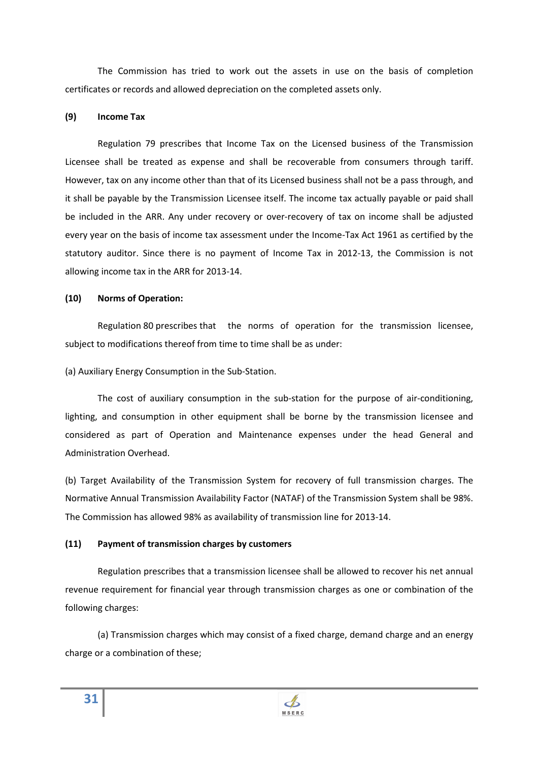The Commission has tried to work out the assets in use on the basis of completion certificates or records and allowed depreciation on the completed assets only.

# **(9) Income Tax**

Regulation 79 prescribes that Income Tax on the Licensed business of the Transmission Licensee shall be treated as expense and shall be recoverable from consumers through tariff. However, tax on any income other than that of its Licensed business shall not be a pass through, and it shall be payable by the Transmission Licensee itself. The income tax actually payable or paid shall be included in the ARR. Any under recovery or over-recovery of tax on income shall be adjusted every year on the basis of income tax assessment under the Income-Tax Act 1961 as certified by the statutory auditor. Since there is no payment of Income Tax in 2012-13, the Commission is not allowing income tax in the ARR for 2013-14.

# **(10) Norms of Operation:**

 Regulation 80 prescribes that the norms of operation for the transmission licensee, subject to modifications thereof from time to time shall be as under:

(a) Auxiliary Energy Consumption in the Sub-Station.

The cost of auxiliary consumption in the sub-station for the purpose of air-conditioning, lighting, and consumption in other equipment shall be borne by the transmission licensee and considered as part of Operation and Maintenance expenses under the head General and Administration Overhead.

(b) Target Availability of the Transmission System for recovery of full transmission charges. The Normative Annual Transmission Availability Factor (NATAF) of the Transmission System shall be 98%. The Commission has allowed 98% as availability of transmission line for 2013-14.

# **(11) Payment of transmission charges by customers**

Regulation prescribes that a transmission licensee shall be allowed to recover his net annual revenue requirement for financial year through transmission charges as one or combination of the following charges:

(a) Transmission charges which may consist of a fixed charge, demand charge and an energy charge or a combination of these;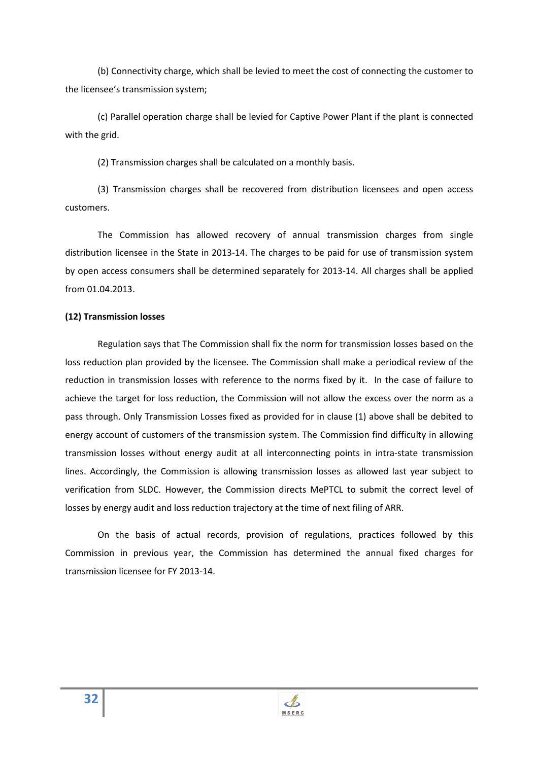(b) Connectivity charge, which shall be levied to meet the cost of connecting the customer to the licensee's transmission system;

(c) Parallel operation charge shall be levied for Captive Power Plant if the plant is connected with the grid.

(2) Transmission charges shall be calculated on a monthly basis.

(3) Transmission charges shall be recovered from distribution licensees and open access customers.

The Commission has allowed recovery of annual transmission charges from single distribution licensee in the State in 2013-14. The charges to be paid for use of transmission system by open access consumers shall be determined separately for 2013-14. All charges shall be applied from 01.04.2013.

## **(12) Transmission losses**

Regulation says that The Commission shall fix the norm for transmission losses based on the loss reduction plan provided by the licensee. The Commission shall make a periodical review of the reduction in transmission losses with reference to the norms fixed by it. In the case of failure to achieve the target for loss reduction, the Commission will not allow the excess over the norm as a pass through. Only Transmission Losses fixed as provided for in clause (1) above shall be debited to energy account of customers of the transmission system. The Commission find difficulty in allowing transmission losses without energy audit at all interconnecting points in intra-state transmission lines. Accordingly, the Commission is allowing transmission losses as allowed last year subject to verification from SLDC. However, the Commission directs MePTCL to submit the correct level of losses by energy audit and loss reduction trajectory at the time of next filing of ARR.

On the basis of actual records, provision of regulations, practices followed by this Commission in previous year, the Commission has determined the annual fixed charges for transmission licensee for FY 2013-14.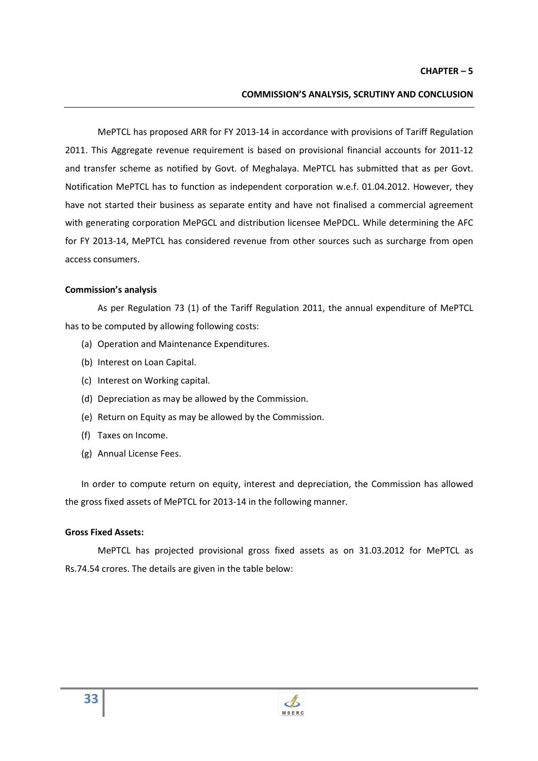## **COMMISSION'S ANALYSIS, SCRUTINY AND CONCLUSION**

MePTCL has proposed ARR for FY 2013-14 in accordance with provisions of Tariff Regulation 2011. This Aggregate revenue requirement is based on provisional financial accounts for 2011-12 and transfer scheme as notified by Govt. of Meghalaya. MePTCL has submitted that as per Govt. Notification MePTCL has to function as independent corporation w.e.f. 01.04.2012. However, they have not started their business as separate entity and have not finalised a commercial agreement with generating corporation MePGCL and distribution licensee MePDCL. While determining the AFC for FY 2013-14, MePTCL has considered revenue from other sources such as surcharge from open access consumers.

#### **Commission's analysis**

 As per Regulation 73 (1) of the Tariff Regulation 2011, the annual expenditure of MePTCL has to be computed by allowing following costs:

- (a) Operation and Maintenance Expenditures.
- (b) Interest on Loan Capital.
- (c) Interest on Working capital.
- (d) Depreciation as may be allowed by the Commission.
- (e) Return on Equity as may be allowed by the Commission.
- (f) Taxes on Income.
- (g) Annual License Fees.

In order to compute return on equity, interest and depreciation, the Commission has allowed the gross fixed assets of MePTCL for 2013-14 in the following manner.

### **Gross Fixed Assets:**

 MePTCL has projected provisional gross fixed assets as on 31.03.2012 for MePTCL as Rs.74.54 crores. The details are given in the table below: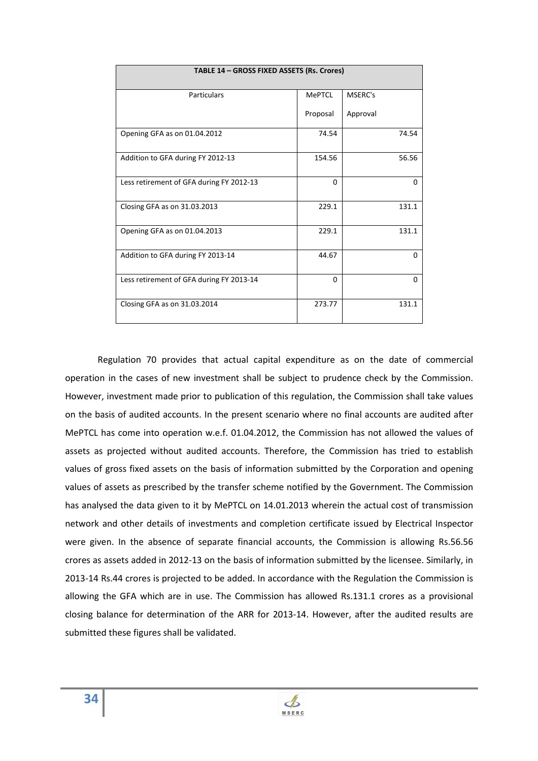| TABLE 14 - GROSS FIXED ASSETS (Rs. Crores) |          |          |  |  |  |
|--------------------------------------------|----------|----------|--|--|--|
| Particulars                                | MePTCL   | MSERC's  |  |  |  |
|                                            | Proposal | Approval |  |  |  |
| Opening GFA as on 01.04.2012               | 74.54    | 74.54    |  |  |  |
| Addition to GFA during FY 2012-13          | 154.56   | 56.56    |  |  |  |
| Less retirement of GFA during FY 2012-13   | $\Omega$ | $\Omega$ |  |  |  |
| Closing GFA as on 31.03.2013               | 229.1    | 131.1    |  |  |  |
| Opening GFA as on 01.04.2013               | 229.1    | 131.1    |  |  |  |
| Addition to GFA during FY 2013-14          | 44.67    | U        |  |  |  |
| Less retirement of GFA during FY 2013-14   | 0        | $\Omega$ |  |  |  |
| Closing GFA as on 31.03.2014               | 273.77   | 131.1    |  |  |  |

 Regulation 70 provides that actual capital expenditure as on the date of commercial operation in the cases of new investment shall be subject to prudence check by the Commission. However, investment made prior to publication of this regulation, the Commission shall take values on the basis of audited accounts. In the present scenario where no final accounts are audited after MePTCL has come into operation w.e.f. 01.04.2012, the Commission has not allowed the values of assets as projected without audited accounts. Therefore, the Commission has tried to establish values of gross fixed assets on the basis of information submitted by the Corporation and opening values of assets as prescribed by the transfer scheme notified by the Government. The Commission has analysed the data given to it by MePTCL on 14.01.2013 wherein the actual cost of transmission network and other details of investments and completion certificate issued by Electrical Inspector were given. In the absence of separate financial accounts, the Commission is allowing Rs.56.56 crores as assets added in 2012-13 on the basis of information submitted by the licensee. Similarly, in 2013-14 Rs.44 crores is projected to be added. In accordance with the Regulation the Commission is allowing the GFA which are in use. The Commission has allowed Rs.131.1 crores as a provisional closing balance for determination of the ARR for 2013-14. However, after the audited results are submitted these figures shall be validated.

 $\mathcal{A}$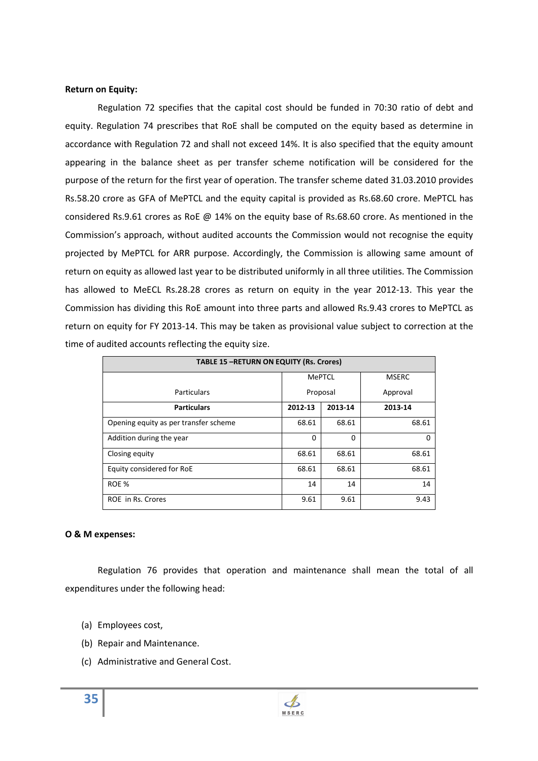## **Return on Equity:**

Regulation 72 specifies that the capital cost should be funded in 70:30 ratio of debt and equity. Regulation 74 prescribes that RoE shall be computed on the equity based as determine in accordance with Regulation 72 and shall not exceed 14%. It is also specified that the equity amount appearing in the balance sheet as per transfer scheme notification will be considered for the purpose of the return for the first year of operation. The transfer scheme dated 31.03.2010 provides Rs.58.20 crore as GFA of MePTCL and the equity capital is provided as Rs.68.60 crore. MePTCL has considered Rs.9.61 crores as RoE @ 14% on the equity base of Rs.68.60 crore. As mentioned in the Commission's approach, without audited accounts the Commission would not recognise the equity projected by MePTCL for ARR purpose. Accordingly, the Commission is allowing same amount of return on equity as allowed last year to be distributed uniformly in all three utilities. The Commission has allowed to MeECL Rs.28.28 crores as return on equity in the year 2012-13. This year the Commission has dividing this RoE amount into three parts and allowed Rs.9.43 crores to MePTCL as return on equity for FY 2013-14. This may be taken as provisional value subject to correction at the time of audited accounts reflecting the equity size.

| <b>TABLE 15-RETURN ON EQUITY (Rs. Crores)</b> |          |          |              |  |
|-----------------------------------------------|----------|----------|--------------|--|
|                                               |          | MePTCL   | <b>MSERC</b> |  |
| <b>Particulars</b>                            |          | Proposal | Approval     |  |
| <b>Particulars</b>                            | 2012-13  | 2013-14  | 2013-14      |  |
| Opening equity as per transfer scheme         | 68.61    | 68.61    | 68.61        |  |
| Addition during the year                      | $\Omega$ | $\Omega$ | O            |  |
| Closing equity                                | 68.61    | 68.61    | 68.61        |  |
| Equity considered for RoE                     | 68.61    | 68.61    | 68.61        |  |
| ROE %                                         | 14       | 14       | 14           |  |
| ROE in Rs. Crores                             | 9.61     | 9.61     | 9.43         |  |

# **O & M expenses:**

Regulation 76 provides that operation and maintenance shall mean the total of all expenditures under the following head:

- (a) Employees cost,
- (b) Repair and Maintenance.
- (c) Administrative and General Cost.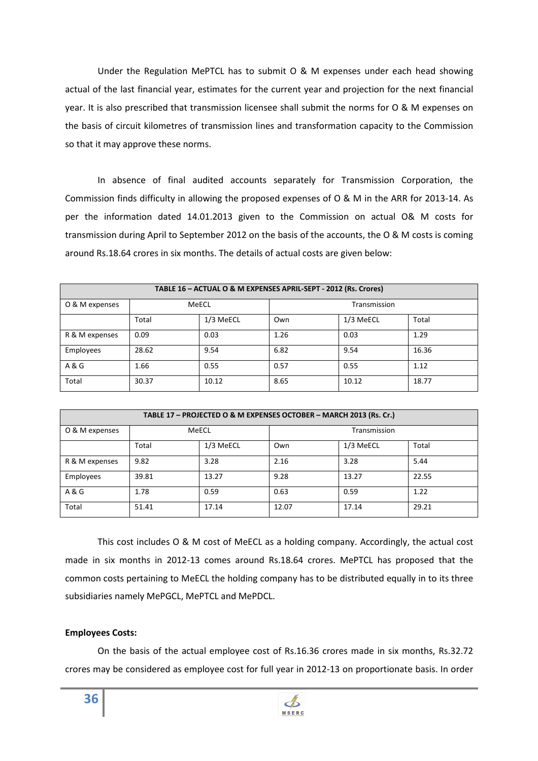Under the Regulation MePTCL has to submit O & M expenses under each head showing actual of the last financial year, estimates for the current year and projection for the next financial year. It is also prescribed that transmission licensee shall submit the norms for O & M expenses on the basis of circuit kilometres of transmission lines and transformation capacity to the Commission so that it may approve these norms.

In absence of final audited accounts separately for Transmission Corporation, the Commission finds difficulty in allowing the proposed expenses of O & M in the ARR for 2013-14. As per the information dated 14.01.2013 given to the Commission on actual O& M costs for transmission during April to September 2012 on the basis of the accounts, the O & M costs is coming around Rs.18.64 crores in six months. The details of actual costs are given below:

| TABLE 16 - ACTUAL O & M EXPENSES APRIL-SEPT - 2012 (Rs. Crores) |       |           |      |              |       |  |
|-----------------------------------------------------------------|-------|-----------|------|--------------|-------|--|
| O & M expenses                                                  |       | MeECL     |      | Transmission |       |  |
|                                                                 | Total | 1/3 MeECL | Own  | 1/3 MeECL    | Total |  |
| R & M expenses                                                  | 0.09  | 0.03      | 1.26 | 0.03         | 1.29  |  |
| Employees                                                       | 28.62 | 9.54      | 6.82 | 9.54         | 16.36 |  |
| A & G                                                           | 1.66  | 0.55      | 0.57 | 0.55         | 1.12  |  |
| Total                                                           | 30.37 | 10.12     | 8.65 | 10.12        | 18.77 |  |

| TABLE 17 - PROJECTED O & M EXPENSES OCTOBER - MARCH 2013 (Rs. Cr.) |       |           |              |           |       |  |
|--------------------------------------------------------------------|-------|-----------|--------------|-----------|-------|--|
| O & M expenses                                                     | MeECL |           | Transmission |           |       |  |
|                                                                    | Total | 1/3 MeECL | Own          | 1/3 MeECL | Total |  |
| R & M expenses                                                     | 9.82  | 3.28      | 2.16         | 3.28      | 5.44  |  |
| Employees                                                          | 39.81 | 13.27     | 9.28         | 13.27     | 22.55 |  |
| A & G                                                              | 1.78  | 0.59      | 0.63         | 0.59      | 1.22  |  |
| Total                                                              | 51.41 | 17.14     | 12.07        | 17.14     | 29.21 |  |

 This cost includes O & M cost of MeECL as a holding company. Accordingly, the actual cost made in six months in 2012-13 comes around Rs.18.64 crores. MePTCL has proposed that the common costs pertaining to MeECL the holding company has to be distributed equally in to its three subsidiaries namely MePGCL, MePTCL and MePDCL.

### **Employees Costs:**

 On the basis of the actual employee cost of Rs.16.36 crores made in six months, Rs.32.72 crores may be considered as employee cost for full year in 2012-13 on proportionate basis. In order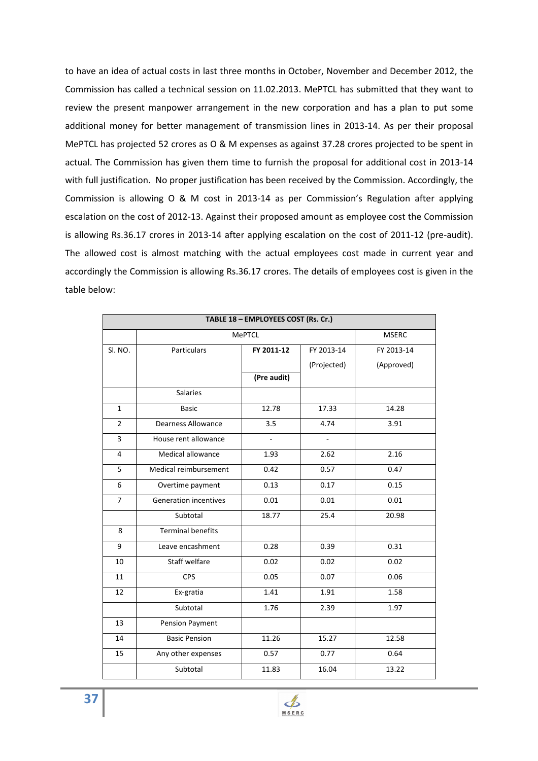to have an idea of actual costs in last three months in October, November and December 2012, the Commission has called a technical session on 11.02.2013. MePTCL has submitted that they want to review the present manpower arrangement in the new corporation and has a plan to put some additional money for better management of transmission lines in 2013-14. As per their proposal MePTCL has projected 52 crores as O & M expenses as against 37.28 crores projected to be spent in actual. The Commission has given them time to furnish the proposal for additional cost in 2013-14 with full justification. No proper justification has been received by the Commission. Accordingly, the Commission is allowing O & M cost in 2013-14 as per Commission's Regulation after applying escalation on the cost of 2012-13. Against their proposed amount as employee cost the Commission is allowing Rs.36.17 crores in 2013-14 after applying escalation on the cost of 2011-12 (pre-audit). The allowed cost is almost matching with the actual employees cost made in current year and accordingly the Commission is allowing Rs.36.17 crores. The details of employees cost is given in the table below:

| TABLE 18 - EMPLOYEES COST (Rs. Cr.) |                              |                          |              |              |  |  |  |
|-------------------------------------|------------------------------|--------------------------|--------------|--------------|--|--|--|
|                                     |                              | <b>MePTCL</b>            |              | <b>MSERC</b> |  |  |  |
| SI. NO.                             | Particulars                  | FY 2011-12               | FY 2013-14   | FY 2013-14   |  |  |  |
|                                     |                              |                          | (Projected)  | (Approved)   |  |  |  |
|                                     |                              | (Pre audit)              |              |              |  |  |  |
|                                     | <b>Salaries</b>              |                          |              |              |  |  |  |
| $\mathbf{1}$                        | <b>Basic</b>                 | 12.78                    | 17.33        | 14.28        |  |  |  |
| $\overline{2}$                      | <b>Dearness Allowance</b>    | 3.5                      | 4.74         | 3.91         |  |  |  |
| 3                                   | House rent allowance         | $\overline{\phantom{a}}$ | $\mathbf{r}$ |              |  |  |  |
| 4                                   | Medical allowance            | 1.93                     | 2.62         | 2.16         |  |  |  |
| 5                                   | Medical reimbursement        | 0.42                     | 0.57         | 0.47         |  |  |  |
| 6                                   | Overtime payment             | 0.13                     | 0.17         | 0.15         |  |  |  |
| $\overline{7}$                      | <b>Generation incentives</b> | 0.01                     | 0.01         | 0.01         |  |  |  |
|                                     | Subtotal                     | 18.77                    | 25.4         | 20.98        |  |  |  |
| 8                                   | <b>Terminal benefits</b>     |                          |              |              |  |  |  |
| 9                                   | Leave encashment             | 0.28                     | 0.39         | 0.31         |  |  |  |
| 10                                  | Staff welfare                | 0.02                     | 0.02         | 0.02         |  |  |  |
| 11                                  | CPS                          | 0.05                     | 0.07         | 0.06         |  |  |  |
| 12                                  | Ex-gratia                    | 1.41                     | 1.91         | 1.58         |  |  |  |
|                                     | Subtotal                     | 1.76                     | 2.39         | 1.97         |  |  |  |
| 13                                  | <b>Pension Payment</b>       |                          |              |              |  |  |  |
| 14                                  | <b>Basic Pension</b>         | 11.26                    | 15.27        | 12.58        |  |  |  |
| 15                                  | Any other expenses           | 0.57                     | 0.77         | 0.64         |  |  |  |
|                                     | Subtotal                     | 11.83                    | 16.04        | 13.22        |  |  |  |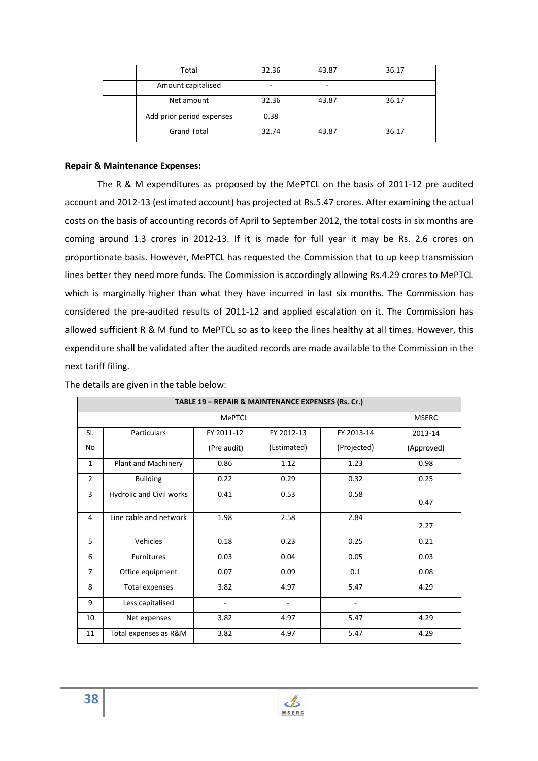| Total                     | 32.36 | 43.87 | 36.17 |
|---------------------------|-------|-------|-------|
| Amount capitalised        |       |       |       |
| Net amount                | 32.36 | 43.87 | 36.17 |
| Add prior period expenses | 0.38  |       |       |
| <b>Grand Total</b>        | 32.74 | 43.87 | 36.17 |

#### **Repair & Maintenance Expenses:**

 The R & M expenditures as proposed by the MePTCL on the basis of 2011-12 pre audited account and 2012-13 (estimated account) has projected at Rs.5.47 crores. After examining the actual costs on the basis of accounting records of April to September 2012, the total costs in six months are coming around 1.3 crores in 2012-13. If it is made for full year it may be Rs. 2.6 crores on proportionate basis. However, MePTCL has requested the Commission that to up keep transmission lines better they need more funds. The Commission is accordingly allowing Rs.4.29 crores to MePTCL which is marginally higher than what they have incurred in last six months. The Commission has considered the pre-audited results of 2011-12 and applied escalation on it. The Commission has allowed sufficient R & M fund to MePTCL so as to keep the lines healthy at all times. However, this expenditure shall be validated after the audited records are made available to the Commission in the next tariff filing.

|                | TABLE 19 - REPAIR & MAINTENANCE EXPENSES (Rs. Cr.) |             |             |             |            |  |  |  |
|----------------|----------------------------------------------------|-------------|-------------|-------------|------------|--|--|--|
|                | <b>MePTCL</b>                                      |             |             |             |            |  |  |  |
| SI.            | <b>Particulars</b>                                 | FY 2011-12  | FY 2012-13  | FY 2013-14  | 2013-14    |  |  |  |
| No             |                                                    | (Pre audit) | (Estimated) | (Projected) | (Approved) |  |  |  |
| $\mathbf{1}$   | Plant and Machinery                                | 0.86        | 1.12        | 1.23        | 0.98       |  |  |  |
| $\overline{2}$ | <b>Building</b>                                    | 0.22        | 0.29        | 0.32        | 0.25       |  |  |  |
| 3              | <b>Hydrolic and Civil works</b>                    | 0.41        | 0.53        | 0.58        | 0.47       |  |  |  |
| 4              | Line cable and network                             | 1.98        | 2.58        | 2.84        | 2.27       |  |  |  |
| 5              | Vehicles                                           | 0.18        | 0.23        | 0.25        | 0.21       |  |  |  |
| 6              | Furnitures                                         | 0.03        | 0.04        | 0.05        | 0.03       |  |  |  |
| $\overline{7}$ | Office equipment                                   | 0.07        | 0.09        | 0.1         | 0.08       |  |  |  |
| 8              | Total expenses                                     | 3.82        | 4.97        | 5.47        | 4.29       |  |  |  |
| 9              | Less capitalised                                   |             |             |             |            |  |  |  |
| 10             | Net expenses                                       | 3.82        | 4.97        | 5.47        | 4.29       |  |  |  |
| 11             | Total expenses as R&M                              | 3.82        | 4.97        | 5.47        | 4.29       |  |  |  |

The details are given in the table below:

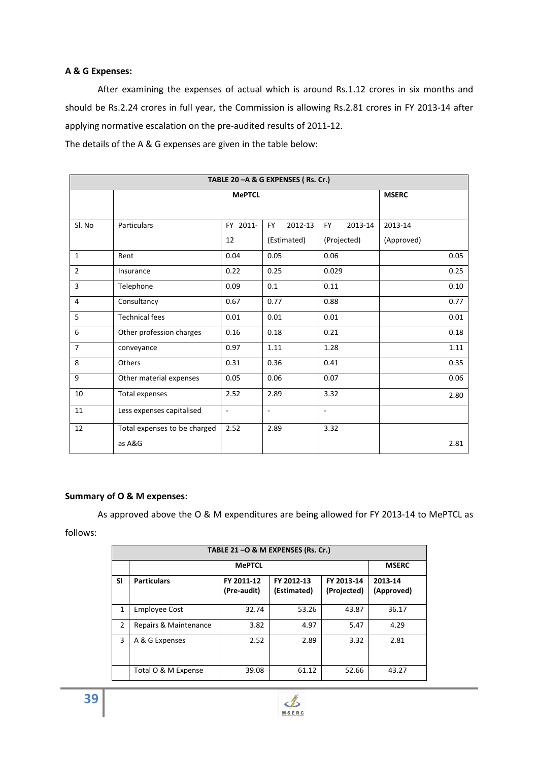## **A & G Expenses:**

 After examining the expenses of actual which is around Rs.1.12 crores in six months and should be Rs.2.24 crores in full year, the Commission is allowing Rs.2.81 crores in FY 2013-14 after applying normative escalation on the pre-audited results of 2011-12.

The details of the A & G expenses are given in the table below:

|                | TABLE 20 - A & G EXPENSES (Rs. Cr.) |              |                      |                          |            |  |
|----------------|-------------------------------------|--------------|----------------------|--------------------------|------------|--|
|                |                                     | <b>MSERC</b> |                      |                          |            |  |
|                |                                     |              |                      |                          |            |  |
| SI. No         | <b>Particulars</b>                  | FY 2011-     | 2012-13<br><b>FY</b> | 2013-14<br><b>FY</b>     | 2013-14    |  |
|                |                                     | 12           | (Estimated)          | (Projected)              | (Approved) |  |
| $\mathbf{1}$   | Rent                                | 0.04         | 0.05                 | 0.06                     | 0.05       |  |
| $\overline{2}$ | Insurance                           | 0.22         | 0.25                 | 0.029                    | 0.25       |  |
| 3              | Telephone                           | 0.09         | 0.1                  | 0.11                     | 0.10       |  |
| $\overline{4}$ | Consultancy                         | 0.67         | 0.77                 | 0.88                     | 0.77       |  |
| 5              | <b>Technical fees</b>               | 0.01         | 0.01                 | 0.01                     | 0.01       |  |
| 6              | Other profession charges            | 0.16         | 0.18                 | 0.21                     | 0.18       |  |
| $\overline{7}$ | conveyance                          | 0.97         | 1.11                 | 1.28                     | 1.11       |  |
| 8              | Others                              | 0.31         | 0.36                 | 0.41                     | 0.35       |  |
| 9              | Other material expenses             | 0.05         | 0.06                 | 0.07                     | 0.06       |  |
| 10             | Total expenses                      | 2.52         | 2.89                 | 3.32                     | 2.80       |  |
| 11             | Less expenses capitalised           | ÷,           | ÷,                   | $\overline{\phantom{a}}$ |            |  |
| 12             | Total expenses to be charged        | 2.52         | 2.89                 | 3.32                     |            |  |
|                | as A&G                              |              |                      |                          | 2.81       |  |

#### **Summary of O & M expenses:**

 As approved above the O & M expenditures are being allowed for FY 2013-14 to MePTCL as follows:

|                | TABLE 21-O & M EXPENSES (Rs. Cr.) |                           |                           |                           |                       |  |  |
|----------------|-----------------------------------|---------------------------|---------------------------|---------------------------|-----------------------|--|--|
|                |                                   | <b>MSERC</b>              |                           |                           |                       |  |  |
| <b>SI</b>      | <b>Particulars</b>                | FY 2011-12<br>(Pre-audit) | FY 2012-13<br>(Estimated) | FY 2013-14<br>(Projected) | 2013-14<br>(Approved) |  |  |
| $\mathbf{1}$   | <b>Employee Cost</b>              | 32.74                     | 53.26                     | 43.87                     | 36.17                 |  |  |
| $\overline{2}$ | Repairs & Maintenance             | 3.82                      | 4.97                      | 5.47                      | 4.29                  |  |  |
| 3              | A & G Expenses                    | 2.52                      | 2.89                      | 3.32                      | 2.81                  |  |  |
|                | Total O & M Expense               | 39.08                     | 61.12                     | 52.66                     | 43.27                 |  |  |

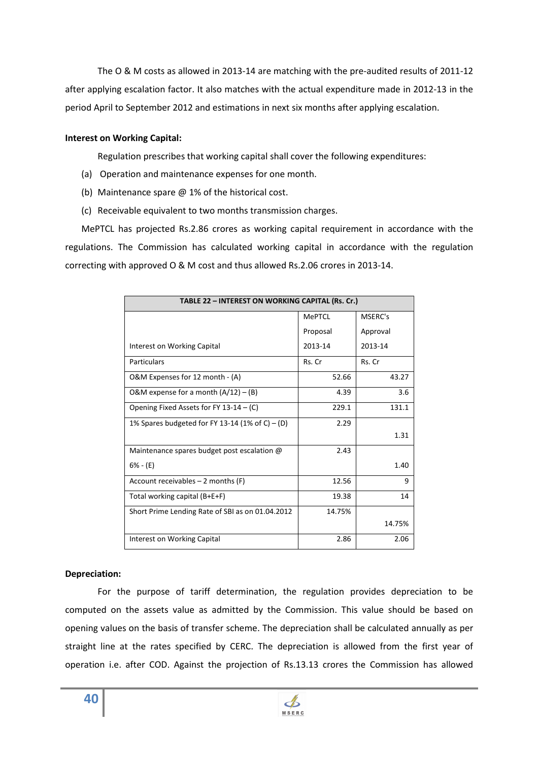The O & M costs as allowed in 2013-14 are matching with the pre-audited results of 2011-12 after applying escalation factor. It also matches with the actual expenditure made in 2012-13 in the period April to September 2012 and estimations in next six months after applying escalation.

## **Interest on Working Capital:**

Regulation prescribes that working capital shall cover the following expenditures:

- (a) Operation and maintenance expenses for one month.
- (b) Maintenance spare @ 1% of the historical cost.
- (c) Receivable equivalent to two months transmission charges.

MePTCL has projected Rs.2.86 crores as working capital requirement in accordance with the regulations. The Commission has calculated working capital in accordance with the regulation correcting with approved O & M cost and thus allowed Rs.2.06 crores in 2013-14.

| TABLE 22 - INTEREST ON WORKING CAPITAL (Rs. Cr.) |               |          |  |  |  |
|--------------------------------------------------|---------------|----------|--|--|--|
|                                                  | <b>MePTCL</b> | MSERC's  |  |  |  |
|                                                  | Proposal      | Approval |  |  |  |
| Interest on Working Capital                      | 2013-14       | 2013-14  |  |  |  |
| Particulars                                      | Rs. Cr        | Rs. Cr   |  |  |  |
| O&M Expenses for 12 month - (A)                  | 52.66         | 43.27    |  |  |  |
| O&M expense for a month $(A/12) - (B)$           | 4.39          | 3.6      |  |  |  |
| Opening Fixed Assets for FY 13-14 $-$ (C)        | 229.1         | 131.1    |  |  |  |
| 1% Spares budgeted for FY 13-14 (1% of C) – (D)  | 2.29          |          |  |  |  |
|                                                  |               | 1.31     |  |  |  |
| Maintenance spares budget post escalation @      | 2.43          |          |  |  |  |
| $6% - (E)$                                       |               | 1.40     |  |  |  |
| Account receivables $-$ 2 months (F)             | 12.56         | 9        |  |  |  |
| Total working capital (B+E+F)                    | 19.38         | 14       |  |  |  |
| Short Prime Lending Rate of SBI as on 01.04.2012 | 14.75%        |          |  |  |  |
|                                                  |               | 14.75%   |  |  |  |
| Interest on Working Capital                      | 2.86          | 2.06     |  |  |  |

# **Depreciation:**

**40**

For the purpose of tariff determination, the regulation provides depreciation to be computed on the assets value as admitted by the Commission. This value should be based on opening values on the basis of transfer scheme. The depreciation shall be calculated annually as per straight line at the rates specified by CERC. The depreciation is allowed from the first year of operation i.e. after COD. Against the projection of Rs.13.13 crores the Commission has allowed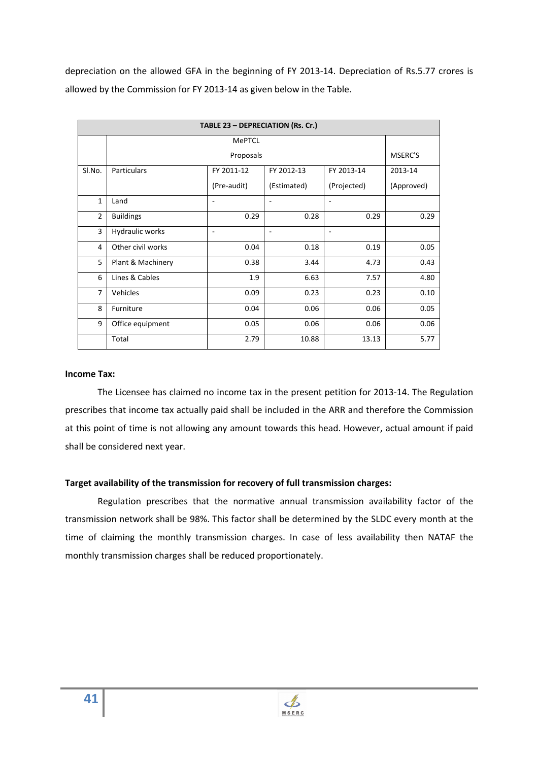depreciation on the allowed GFA in the beginning of FY 2013-14. Depreciation of Rs.5.77 crores is allowed by the Commission for FY 2013-14 as given below in the Table.

| TABLE 23 - DEPRECIATION (Rs. Cr.) |                   |             |             |                |            |  |  |
|-----------------------------------|-------------------|-------------|-------------|----------------|------------|--|--|
|                                   | <b>MePTCL</b>     |             |             |                |            |  |  |
|                                   | Proposals         |             |             |                |            |  |  |
| Sl.No.                            | Particulars       | FY 2011-12  | FY 2012-13  | FY 2013-14     | 2013-14    |  |  |
|                                   |                   | (Pre-audit) | (Estimated) | (Projected)    | (Approved) |  |  |
| $\mathbf{1}$                      | Land              | ٠           |             | ٠              |            |  |  |
| $\overline{2}$                    | <b>Buildings</b>  | 0.29        | 0.28        | 0.29           | 0.29       |  |  |
| 3                                 | Hydraulic works   | ٠           |             | $\overline{a}$ |            |  |  |
| 4                                 | Other civil works | 0.04        | 0.18        | 0.19           | 0.05       |  |  |
| 5                                 | Plant & Machinery | 0.38        | 3.44        | 4.73           | 0.43       |  |  |
| 6                                 | Lines & Cables    | 1.9         | 6.63        | 7.57           | 4.80       |  |  |
| $\overline{7}$                    | Vehicles          | 0.09        | 0.23        | 0.23           | 0.10       |  |  |
| 8                                 | Furniture         | 0.04        | 0.06        | 0.06           | 0.05       |  |  |
| 9                                 | Office equipment  | 0.05        | 0.06        | 0.06           | 0.06       |  |  |
|                                   | Total             | 2.79        | 10.88       | 13.13          | 5.77       |  |  |

## **Income Tax:**

The Licensee has claimed no income tax in the present petition for 2013-14. The Regulation prescribes that income tax actually paid shall be included in the ARR and therefore the Commission at this point of time is not allowing any amount towards this head. However, actual amount if paid shall be considered next year.

# **Target availability of the transmission for recovery of full transmission charges:**

Regulation prescribes that the normative annual transmission availability factor of the transmission network shall be 98%. This factor shall be determined by the SLDC every month at the time of claiming the monthly transmission charges. In case of less availability then NATAF the monthly transmission charges shall be reduced proportionately.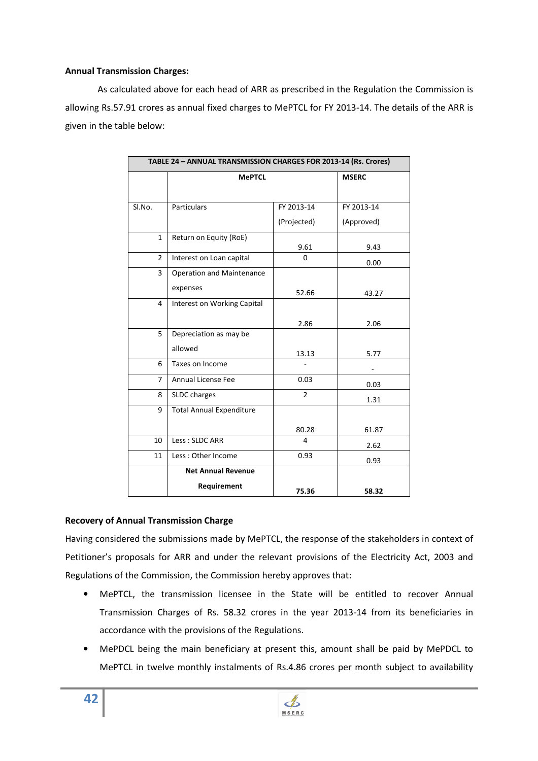# **Annual Transmission Charges:**

As calculated above for each head of ARR as prescribed in the Regulation the Commission is allowing Rs.57.91 crores as annual fixed charges to MePTCL for FY 2013-14. The details of the ARR is given in the table below:

| TABLE 24 - ANNUAL TRANSMISSION CHARGES FOR 2013-14 (Rs. Crores) |                                  |                |              |  |  |  |
|-----------------------------------------------------------------|----------------------------------|----------------|--------------|--|--|--|
|                                                                 | <b>MePTCL</b>                    |                | <b>MSERC</b> |  |  |  |
|                                                                 |                                  |                |              |  |  |  |
| SI.No.                                                          | Particulars                      | FY 2013-14     | FY 2013-14   |  |  |  |
|                                                                 |                                  | (Projected)    | (Approved)   |  |  |  |
| $\mathbf{1}$                                                    | Return on Equity (RoE)           |                |              |  |  |  |
|                                                                 |                                  | 9.61           | 9.43         |  |  |  |
| $\overline{2}$                                                  | Interest on Loan capital         | 0              | 0.00         |  |  |  |
| 3                                                               | <b>Operation and Maintenance</b> |                |              |  |  |  |
|                                                                 | expenses                         | 52.66          | 43.27        |  |  |  |
| 4                                                               | Interest on Working Capital      |                |              |  |  |  |
|                                                                 |                                  | 2.86           | 2.06         |  |  |  |
| 5                                                               | Depreciation as may be           |                |              |  |  |  |
|                                                                 | allowed                          | 13.13          | 5.77         |  |  |  |
| 6                                                               | Taxes on Income                  |                |              |  |  |  |
| 7                                                               | <b>Annual License Fee</b>        | 0.03           | 0.03         |  |  |  |
| 8                                                               | SLDC charges                     | $\mathfrak{p}$ | 1.31         |  |  |  |
| 9                                                               | <b>Total Annual Expenditure</b>  |                |              |  |  |  |
|                                                                 |                                  | 80.28          | 61.87        |  |  |  |
| 10                                                              | Less: SLDC ARR                   | 4              | 2.62         |  |  |  |
| 11                                                              | Less: Other Income               | 0.93           | 0.93         |  |  |  |
|                                                                 | <b>Net Annual Revenue</b>        |                |              |  |  |  |
|                                                                 | Requirement                      | 75.36          | 58.32        |  |  |  |

# **Recovery of Annual Transmission Charge**

Having considered the submissions made by MePTCL, the response of the stakeholders in context of Petitioner's proposals for ARR and under the relevant provisions of the Electricity Act, 2003 and Regulations of the Commission, the Commission hereby approves that:

- MePTCL, the transmission licensee in the State will be entitled to recover Annual Transmission Charges of Rs. 58.32 crores in the year 2013-14 from its beneficiaries in accordance with the provisions of the Regulations.
- MePDCL being the main beneficiary at present this, amount shall be paid by MePDCL to MePTCL in twelve monthly instalments of Rs.4.86 crores per month subject to availability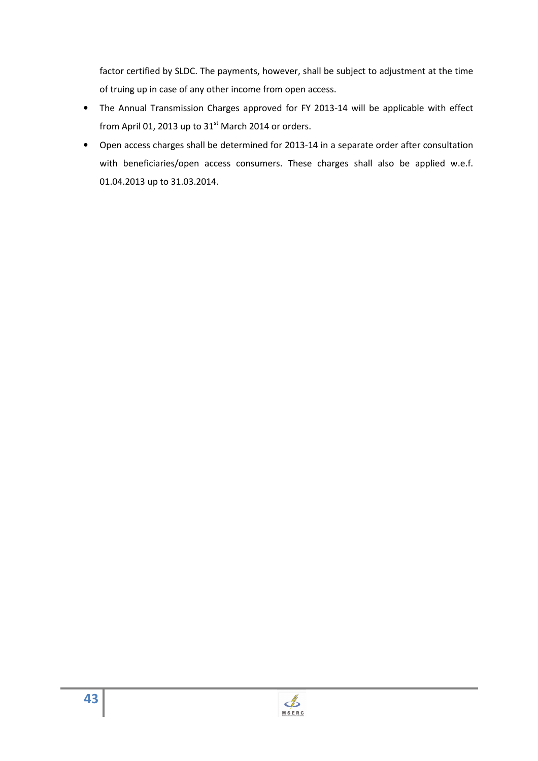factor certified by SLDC. The payments, however, shall be subject to adjustment at the time of truing up in case of any other income from open access.

- The Annual Transmission Charges approved for FY 2013-14 will be applicable with effect from April 01, 2013 up to  $31<sup>st</sup>$  March 2014 or orders.
- Open access charges shall be determined for 2013-14 in a separate order after consultation with beneficiaries/open access consumers. These charges shall also be applied w.e.f. 01.04.2013 up to 31.03.2014.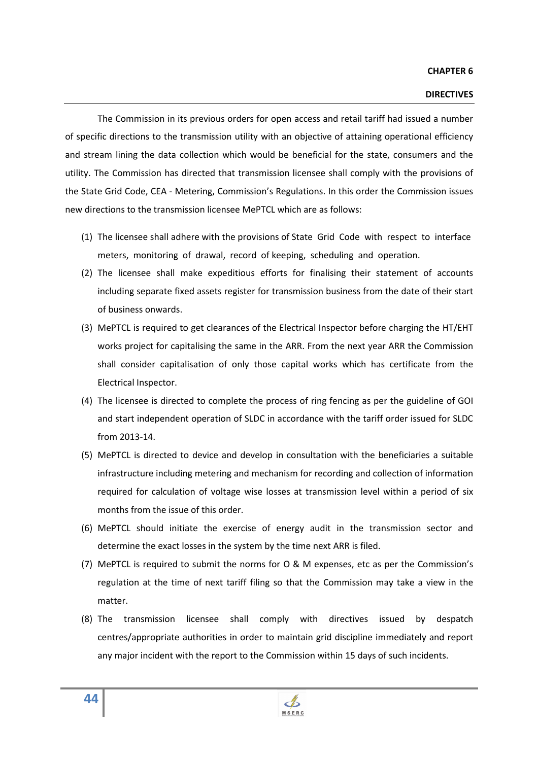#### **CHAPTER 6**

#### **DIRECTIVES**

The Commission in its previous orders for open access and retail tariff had issued a number of specific directions to the transmission utility with an objective of attaining operational efficiency and stream lining the data collection which would be beneficial for the state, consumers and the utility. The Commission has directed that transmission licensee shall comply with the provisions of the State Grid Code, CEA - Metering, Commission's Regulations. In this order the Commission issues new directions to the transmission licensee MePTCL which are as follows:

- (1) The licensee shall adhere with the provisions of State Grid Code with respect to interface meters, monitoring of drawal, record of keeping, scheduling and operation.
- (2) The licensee shall make expeditious efforts for finalising their statement of accounts including separate fixed assets register for transmission business from the date of their start of business onwards.
- (3) MePTCL is required to get clearances of the Electrical Inspector before charging the HT/EHT works project for capitalising the same in the ARR. From the next year ARR the Commission shall consider capitalisation of only those capital works which has certificate from the Electrical Inspector.
- (4) The licensee is directed to complete the process of ring fencing as per the guideline of GOI and start independent operation of SLDC in accordance with the tariff order issued for SLDC from 2013-14.
- (5) MePTCL is directed to device and develop in consultation with the beneficiaries a suitable infrastructure including metering and mechanism for recording and collection of information required for calculation of voltage wise losses at transmission level within a period of six months from the issue of this order.
- (6) MePTCL should initiate the exercise of energy audit in the transmission sector and determine the exact losses in the system by the time next ARR is filed.
- (7) MePTCL is required to submit the norms for O & M expenses, etc as per the Commission's regulation at the time of next tariff filing so that the Commission may take a view in the matter.
- (8) The transmission licensee shall comply with directives issued by despatch centres/appropriate authorities in order to maintain grid discipline immediately and report any major incident with the report to the Commission within 15 days of such incidents.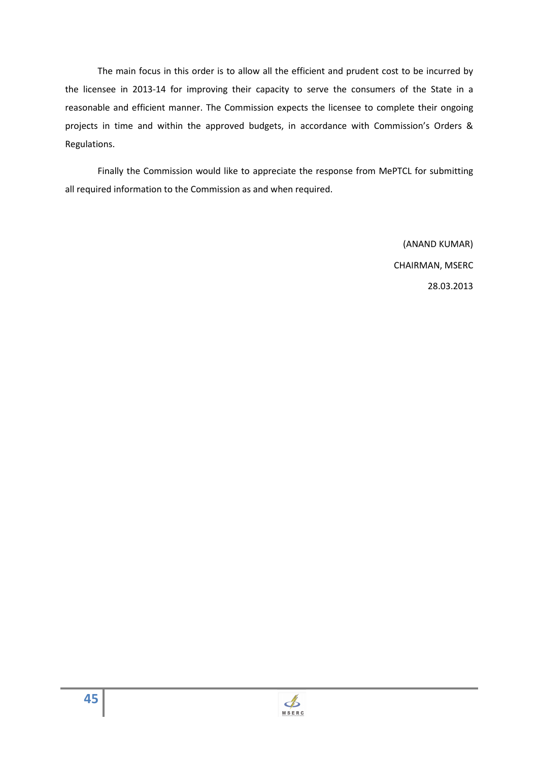The main focus in this order is to allow all the efficient and prudent cost to be incurred by the licensee in 2013-14 for improving their capacity to serve the consumers of the State in a reasonable and efficient manner. The Commission expects the licensee to complete their ongoing projects in time and within the approved budgets, in accordance with Commission's Orders & Regulations.

 Finally the Commission would like to appreciate the response from MePTCL for submitting all required information to the Commission as and when required.

> (ANAND KUMAR) CHAIRMAN, MSERC 28.03.2013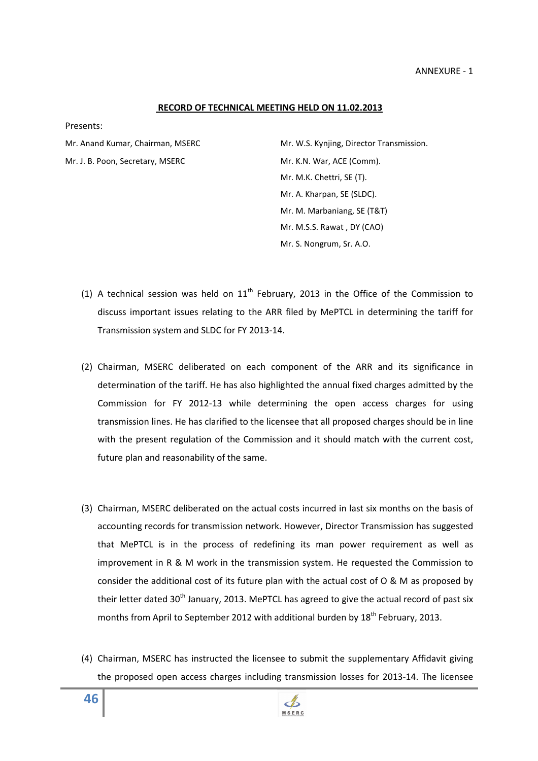#### ANNEXURE - 1

#### **RECORD OF TECHNICAL MEETING HELD ON 11.02.2013**

Presents:

Mr. J. B. Poon, Secretary, MSERC Mr. K.N. War, ACE (Comm).

Mr. Anand Kumar, Chairman, MSERC Mr. W.S. Kynjing, Director Transmission. Mr. M.K. Chettri, SE (T). Mr. A. Kharpan, SE (SLDC). Mr. M. Marbaniang, SE (T&T) Mr. M.S.S. Rawat , DY (CAO) Mr. S. Nongrum, Sr. A.O.

- (1) A technical session was held on  $11<sup>th</sup>$  February, 2013 in the Office of the Commission to discuss important issues relating to the ARR filed by MePTCL in determining the tariff for Transmission system and SLDC for FY 2013-14.
- (2) Chairman, MSERC deliberated on each component of the ARR and its significance in determination of the tariff. He has also highlighted the annual fixed charges admitted by the Commission for FY 2012-13 while determining the open access charges for using transmission lines. He has clarified to the licensee that all proposed charges should be in line with the present regulation of the Commission and it should match with the current cost, future plan and reasonability of the same.
- (3) Chairman, MSERC deliberated on the actual costs incurred in last six months on the basis of accounting records for transmission network. However, Director Transmission has suggested that MePTCL is in the process of redefining its man power requirement as well as improvement in R & M work in the transmission system. He requested the Commission to consider the additional cost of its future plan with the actual cost of O & M as proposed by their letter dated 30<sup>th</sup> January, 2013. MePTCL has agreed to give the actual record of past six months from April to September 2012 with additional burden by  $18<sup>th</sup>$  February, 2013.
- (4) Chairman, MSERC has instructed the licensee to submit the supplementary Affidavit giving the proposed open access charges including transmission losses for 2013-14. The licensee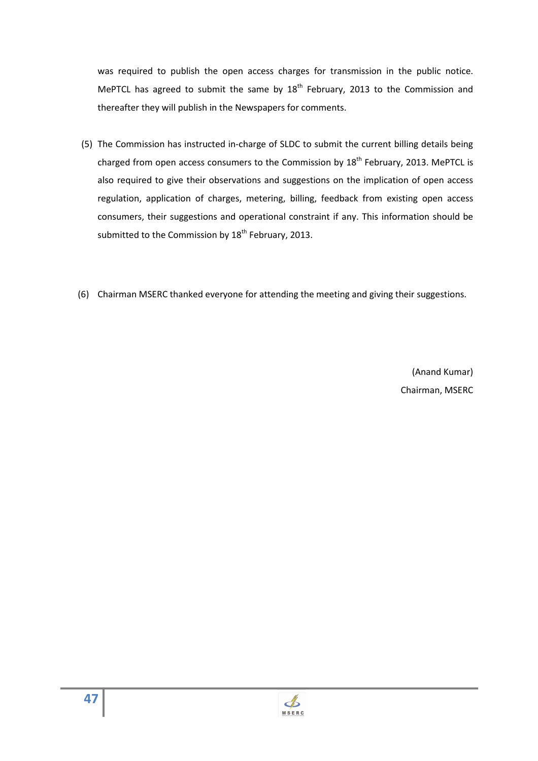was required to publish the open access charges for transmission in the public notice. MePTCL has agreed to submit the same by  $18<sup>th</sup>$  February, 2013 to the Commission and thereafter they will publish in the Newspapers for comments.

- (5) The Commission has instructed in-charge of SLDC to submit the current billing details being charged from open access consumers to the Commission by  $18<sup>th</sup>$  February, 2013. MePTCL is also required to give their observations and suggestions on the implication of open access regulation, application of charges, metering, billing, feedback from existing open access consumers, their suggestions and operational constraint if any. This information should be submitted to the Commission by 18<sup>th</sup> February, 2013.
- (6) Chairman MSERC thanked everyone for attending the meeting and giving their suggestions.

(Anand Kumar) Chairman, MSERC

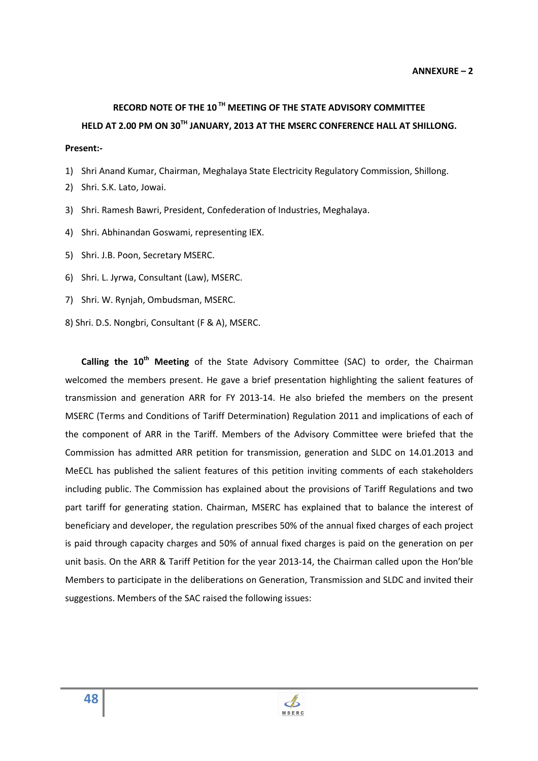# **RECORD NOTE OF THE 10 TH MEETING OF THE STATE ADVISORY COMMITTEE HELD AT 2.00 PM ON 30TH JANUARY, 2013 AT THE MSERC CONFERENCE HALL AT SHILLONG.**

#### **Present:-**

- 1) Shri Anand Kumar, Chairman, Meghalaya State Electricity Regulatory Commission, Shillong.
- 2) Shri. S.K. Lato, Jowai.
- 3) Shri. Ramesh Bawri, President, Confederation of Industries, Meghalaya.
- 4) Shri. Abhinandan Goswami, representing IEX.
- 5) Shri. J.B. Poon, Secretary MSERC.
- 6) Shri. L. Jyrwa, Consultant (Law), MSERC.
- 7) Shri. W. Rynjah, Ombudsman, MSERC.
- 8) Shri. D.S. Nongbri, Consultant (F & A), MSERC.

**Calling the 10th Meeting** of the State Advisory Committee (SAC) to order, the Chairman welcomed the members present. He gave a brief presentation highlighting the salient features of transmission and generation ARR for FY 2013-14. He also briefed the members on the present MSERC (Terms and Conditions of Tariff Determination) Regulation 2011 and implications of each of the component of ARR in the Tariff. Members of the Advisory Committee were briefed that the Commission has admitted ARR petition for transmission, generation and SLDC on 14.01.2013 and MeECL has published the salient features of this petition inviting comments of each stakeholders including public. The Commission has explained about the provisions of Tariff Regulations and two part tariff for generating station. Chairman, MSERC has explained that to balance the interest of beneficiary and developer, the regulation prescribes 50% of the annual fixed charges of each project is paid through capacity charges and 50% of annual fixed charges is paid on the generation on per unit basis. On the ARR & Tariff Petition for the year 2013-14, the Chairman called upon the Hon'ble Members to participate in the deliberations on Generation, Transmission and SLDC and invited their suggestions. Members of the SAC raised the following issues:

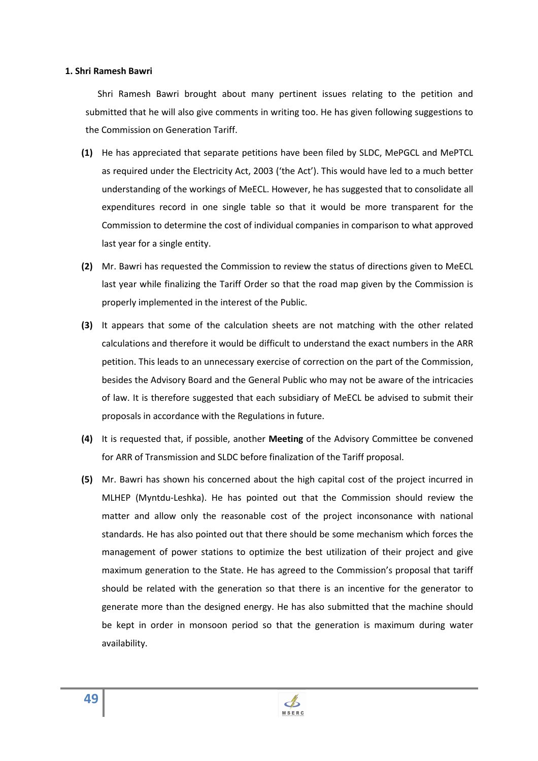#### **1. Shri Ramesh Bawri**

 Shri Ramesh Bawri brought about many pertinent issues relating to the petition and submitted that he will also give comments in writing too. He has given following suggestions to the Commission on Generation Tariff.

- **(1)** He has appreciated that separate petitions have been filed by SLDC, MePGCL and MePTCL as required under the Electricity Act, 2003 ('the Act'). This would have led to a much better understanding of the workings of MeECL. However, he has suggested that to consolidate all expenditures record in one single table so that it would be more transparent for the Commission to determine the cost of individual companies in comparison to what approved last year for a single entity.
- **(2)** Mr. Bawri has requested the Commission to review the status of directions given to MeECL last year while finalizing the Tariff Order so that the road map given by the Commission is properly implemented in the interest of the Public.
- **(3)** It appears that some of the calculation sheets are not matching with the other related calculations and therefore it would be difficult to understand the exact numbers in the ARR petition. This leads to an unnecessary exercise of correction on the part of the Commission, besides the Advisory Board and the General Public who may not be aware of the intricacies of law. It is therefore suggested that each subsidiary of MeECL be advised to submit their proposals in accordance with the Regulations in future.
- **(4)** It is requested that, if possible, another **Meeting** of the Advisory Committee be convened for ARR of Transmission and SLDC before finalization of the Tariff proposal.
- **(5)** Mr. Bawri has shown his concerned about the high capital cost of the project incurred in MLHEP (Myntdu-Leshka). He has pointed out that the Commission should review the matter and allow only the reasonable cost of the project inconsonance with national standards. He has also pointed out that there should be some mechanism which forces the management of power stations to optimize the best utilization of their project and give maximum generation to the State. He has agreed to the Commission's proposal that tariff should be related with the generation so that there is an incentive for the generator to generate more than the designed energy. He has also submitted that the machine should be kept in order in monsoon period so that the generation is maximum during water availability.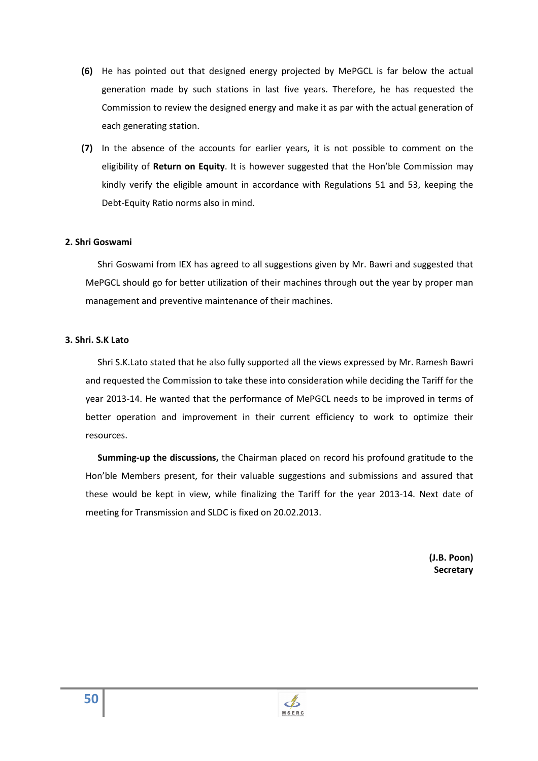- **(6)** He has pointed out that designed energy projected by MePGCL is far below the actual generation made by such stations in last five years. Therefore, he has requested the Commission to review the designed energy and make it as par with the actual generation of each generating station.
- **(7)** In the absence of the accounts for earlier years, it is not possible to comment on the eligibility of **Return on Equity**. It is however suggested that the Hon'ble Commission may kindly verify the eligible amount in accordance with Regulations 51 and 53, keeping the Debt-Equity Ratio norms also in mind.

## **2. Shri Goswami**

 Shri Goswami from IEX has agreed to all suggestions given by Mr. Bawri and suggested that MePGCL should go for better utilization of their machines through out the year by proper man management and preventive maintenance of their machines.

## **3. Shri. S.K Lato**

 Shri S.K.Lato stated that he also fully supported all the views expressed by Mr. Ramesh Bawri and requested the Commission to take these into consideration while deciding the Tariff for the year 2013-14. He wanted that the performance of MePGCL needs to be improved in terms of better operation and improvement in their current efficiency to work to optimize their resources.

 **Summing-up the discussions,** the Chairman placed on record his profound gratitude to the Hon'ble Members present, for their valuable suggestions and submissions and assured that these would be kept in view, while finalizing the Tariff for the year 2013-14. Next date of meeting for Transmission and SLDC is fixed on 20.02.2013.

> **(J.B. Poon) Secretary**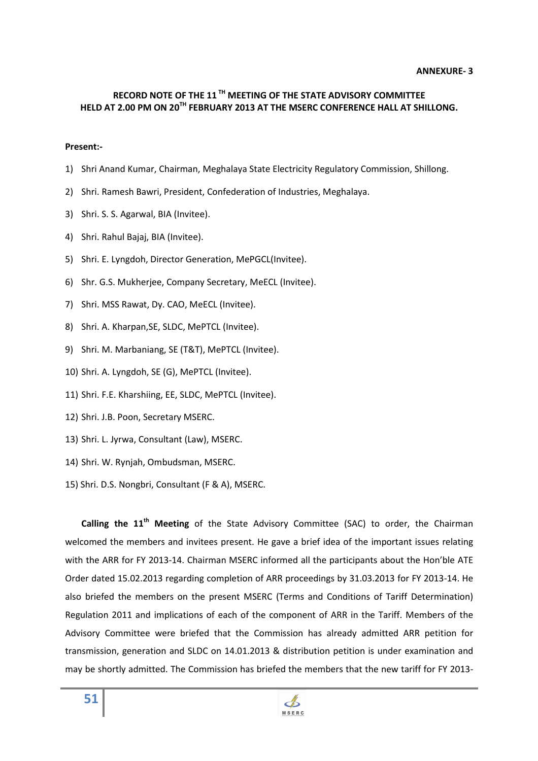# **RECORD NOTE OF THE 11 TH MEETING OF THE STATE ADVISORY COMMITTEE HELD AT 2.00 PM ON 20TH FEBRUARY 2013 AT THE MSERC CONFERENCE HALL AT SHILLONG.**

#### **Present:-**

- 1) Shri Anand Kumar, Chairman, Meghalaya State Electricity Regulatory Commission, Shillong.
- 2) Shri. Ramesh Bawri, President, Confederation of Industries, Meghalaya.
- 3) Shri. S. S. Agarwal, BIA (Invitee).
- 4) Shri. Rahul Bajaj, BIA (Invitee).
- 5) Shri. E. Lyngdoh, Director Generation, MePGCL(Invitee).
- 6) Shr. G.S. Mukherjee, Company Secretary, MeECL (Invitee).
- 7) Shri. MSS Rawat, Dy. CAO, MeECL (Invitee).
- 8) Shri. A. Kharpan,SE, SLDC, MePTCL (Invitee).
- 9) Shri. M. Marbaniang, SE (T&T), MePTCL (Invitee).
- 10) Shri. A. Lyngdoh, SE (G), MePTCL (Invitee).
- 11) Shri. F.E. Kharshiing, EE, SLDC, MePTCL (Invitee).
- 12) Shri. J.B. Poon, Secretary MSERC.
- 13) Shri. L. Jyrwa, Consultant (Law), MSERC.
- 14) Shri. W. Rynjah, Ombudsman, MSERC.
- 15) Shri. D.S. Nongbri, Consultant (F & A), MSERC.

**Calling the 11th Meeting** of the State Advisory Committee (SAC) to order, the Chairman welcomed the members and invitees present. He gave a brief idea of the important issues relating with the ARR for FY 2013-14. Chairman MSERC informed all the participants about the Hon'ble ATE Order dated 15.02.2013 regarding completion of ARR proceedings by 31.03.2013 for FY 2013-14. He also briefed the members on the present MSERC (Terms and Conditions of Tariff Determination) Regulation 2011 and implications of each of the component of ARR in the Tariff. Members of the Advisory Committee were briefed that the Commission has already admitted ARR petition for transmission, generation and SLDC on 14.01.2013 & distribution petition is under examination and may be shortly admitted. The Commission has briefed the members that the new tariff for FY 2013-

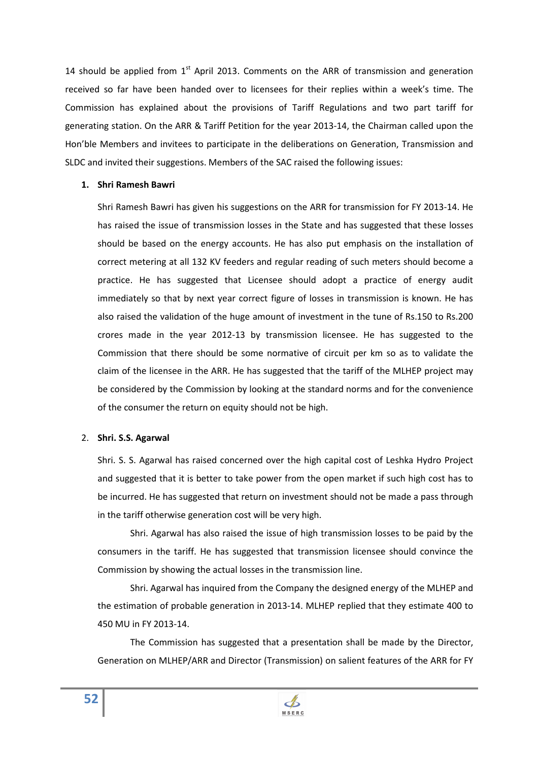14 should be applied from  $1<sup>st</sup>$  April 2013. Comments on the ARR of transmission and generation received so far have been handed over to licensees for their replies within a week's time. The Commission has explained about the provisions of Tariff Regulations and two part tariff for generating station. On the ARR & Tariff Petition for the year 2013-14, the Chairman called upon the Hon'ble Members and invitees to participate in the deliberations on Generation, Transmission and SLDC and invited their suggestions. Members of the SAC raised the following issues:

### **1. Shri Ramesh Bawri**

Shri Ramesh Bawri has given his suggestions on the ARR for transmission for FY 2013-14. He has raised the issue of transmission losses in the State and has suggested that these losses should be based on the energy accounts. He has also put emphasis on the installation of correct metering at all 132 KV feeders and regular reading of such meters should become a practice. He has suggested that Licensee should adopt a practice of energy audit immediately so that by next year correct figure of losses in transmission is known. He has also raised the validation of the huge amount of investment in the tune of Rs.150 to Rs.200 crores made in the year 2012-13 by transmission licensee. He has suggested to the Commission that there should be some normative of circuit per km so as to validate the claim of the licensee in the ARR. He has suggested that the tariff of the MLHEP project may be considered by the Commission by looking at the standard norms and for the convenience of the consumer the return on equity should not be high.

# 2. **Shri. S.S. Agarwal**

Shri. S. S. Agarwal has raised concerned over the high capital cost of Leshka Hydro Project and suggested that it is better to take power from the open market if such high cost has to be incurred. He has suggested that return on investment should not be made a pass through in the tariff otherwise generation cost will be very high.

 Shri. Agarwal has also raised the issue of high transmission losses to be paid by the consumers in the tariff. He has suggested that transmission licensee should convince the Commission by showing the actual losses in the transmission line.

 Shri. Agarwal has inquired from the Company the designed energy of the MLHEP and the estimation of probable generation in 2013-14. MLHEP replied that they estimate 400 to 450 MU in FY 2013-14.

 The Commission has suggested that a presentation shall be made by the Director, Generation on MLHEP/ARR and Director (Transmission) on salient features of the ARR for FY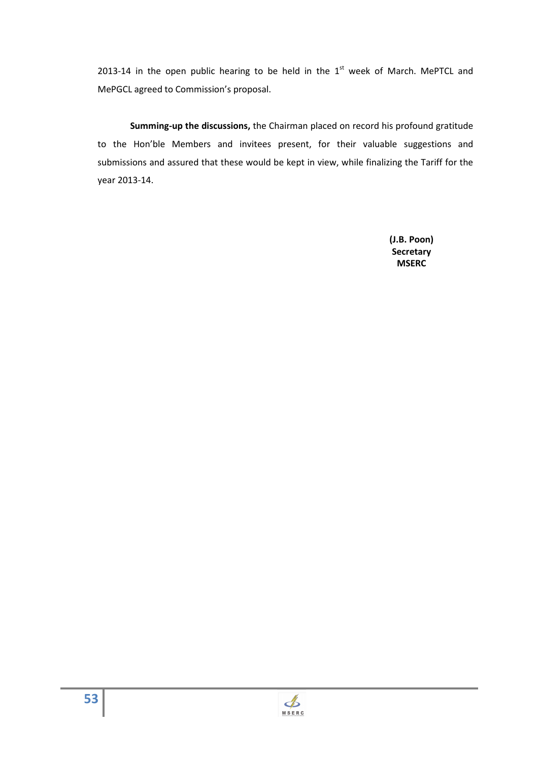2013-14 in the open public hearing to be held in the  $1<sup>st</sup>$  week of March. MePTCL and MePGCL agreed to Commission's proposal.

**Summing-up the discussions,** the Chairman placed on record his profound gratitude to the Hon'ble Members and invitees present, for their valuable suggestions and submissions and assured that these would be kept in view, while finalizing the Tariff for the year 2013-14.

> **(J.B. Poon) Secretary MSERC**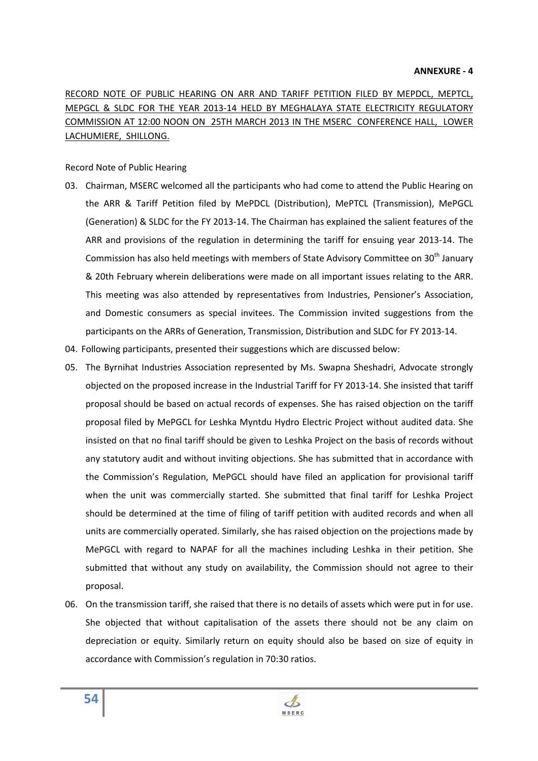#### **ANNEXURE - 4**

RECORD NOTE OF PUBLIC HEARING ON ARR AND TARIFF PETITION FILED BY MEPDCL, MEPTCL, MEPGCL & SLDC FOR THE YEAR 2013-14 HELD BY MEGHALAYA STATE ELECTRICITY REGULATORY COMMISSION AT 12:00 NOON ON 25TH MARCH 2013 IN THE MSERC CONFERENCE HALL, LOWER LACHUMIERE, SHILLONG.

## Record Note of Public Hearing

- 03. Chairman, MSERC welcomed all the participants who had come to attend the Public Hearing on the ARR & Tariff Petition filed by MePDCL (Distribution), MePTCL (Transmission), MePGCL (Generation) & SLDC for the FY 2013-14. The Chairman has explained the salient features of the ARR and provisions of the regulation in determining the tariff for ensuing year 2013-14. The Commission has also held meetings with members of State Advisory Committee on  $30<sup>th</sup>$  January & 20th February wherein deliberations were made on all important issues relating to the ARR. This meeting was also attended by representatives from Industries, Pensioner's Association, and Domestic consumers as special invitees. The Commission invited suggestions from the participants on the ARRs of Generation, Transmission, Distribution and SLDC for FY 2013-14.
- 04. Following participants, presented their suggestions which are discussed below:
- 05. The Byrnihat Industries Association represented by Ms. Swapna Sheshadri, Advocate strongly objected on the proposed increase in the Industrial Tariff for FY 2013-14. She insisted that tariff proposal should be based on actual records of expenses. She has raised objection on the tariff proposal filed by MePGCL for Leshka Myntdu Hydro Electric Project without audited data. She insisted on that no final tariff should be given to Leshka Project on the basis of records without any statutory audit and without inviting objections. She has submitted that in accordance with the Commission's Regulation, MePGCL should have filed an application for provisional tariff when the unit was commercially started. She submitted that final tariff for Leshka Project should be determined at the time of filing of tariff petition with audited records and when all units are commercially operated. Similarly, she has raised objection on the projections made by MePGCL with regard to NAPAF for all the machines including Leshka in their petition. She submitted that without any study on availability, the Commission should not agree to their proposal.
- 06. On the transmission tariff, she raised that there is no details of assets which were put in for use. She objected that without capitalisation of the assets there should not be any claim on depreciation or equity. Similarly return on equity should also be based on size of equity in accordance with Commission's regulation in 70:30 ratios.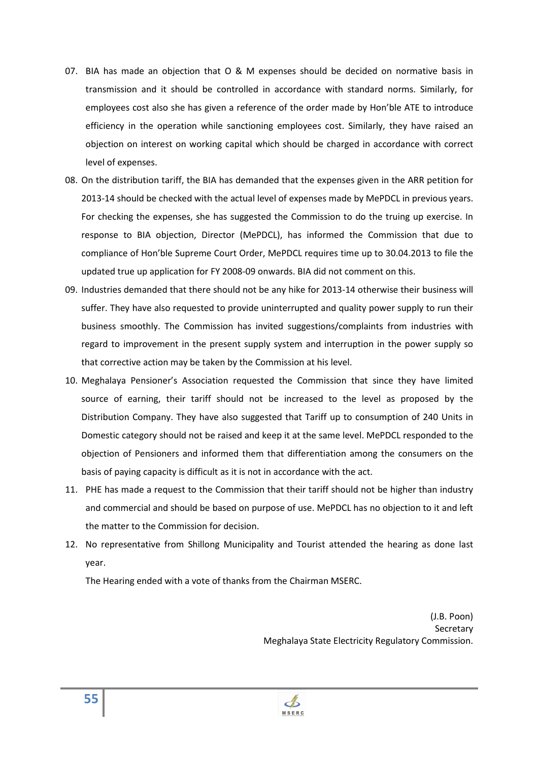- 07. BIA has made an objection that O & M expenses should be decided on normative basis in transmission and it should be controlled in accordance with standard norms. Similarly, for employees cost also she has given a reference of the order made by Hon'ble ATE to introduce efficiency in the operation while sanctioning employees cost. Similarly, they have raised an objection on interest on working capital which should be charged in accordance with correct level of expenses.
- 08. On the distribution tariff, the BIA has demanded that the expenses given in the ARR petition for 2013-14 should be checked with the actual level of expenses made by MePDCL in previous years. For checking the expenses, she has suggested the Commission to do the truing up exercise. In response to BIA objection, Director (MePDCL), has informed the Commission that due to compliance of Hon'ble Supreme Court Order, MePDCL requires time up to 30.04.2013 to file the updated true up application for FY 2008-09 onwards. BIA did not comment on this.
- 09. Industries demanded that there should not be any hike for 2013-14 otherwise their business will suffer. They have also requested to provide uninterrupted and quality power supply to run their business smoothly. The Commission has invited suggestions/complaints from industries with regard to improvement in the present supply system and interruption in the power supply so that corrective action may be taken by the Commission at his level.
- 10. Meghalaya Pensioner's Association requested the Commission that since they have limited source of earning, their tariff should not be increased to the level as proposed by the Distribution Company. They have also suggested that Tariff up to consumption of 240 Units in Domestic category should not be raised and keep it at the same level. MePDCL responded to the objection of Pensioners and informed them that differentiation among the consumers on the basis of paying capacity is difficult as it is not in accordance with the act.
- 11. PHE has made a request to the Commission that their tariff should not be higher than industry and commercial and should be based on purpose of use. MePDCL has no objection to it and left the matter to the Commission for decision.
- 12. No representative from Shillong Municipality and Tourist attended the hearing as done last year.

 $\mathcal{A}$ 

The Hearing ended with a vote of thanks from the Chairman MSERC.

(J.B. Poon) **Secretary** Meghalaya State Electricity Regulatory Commission.